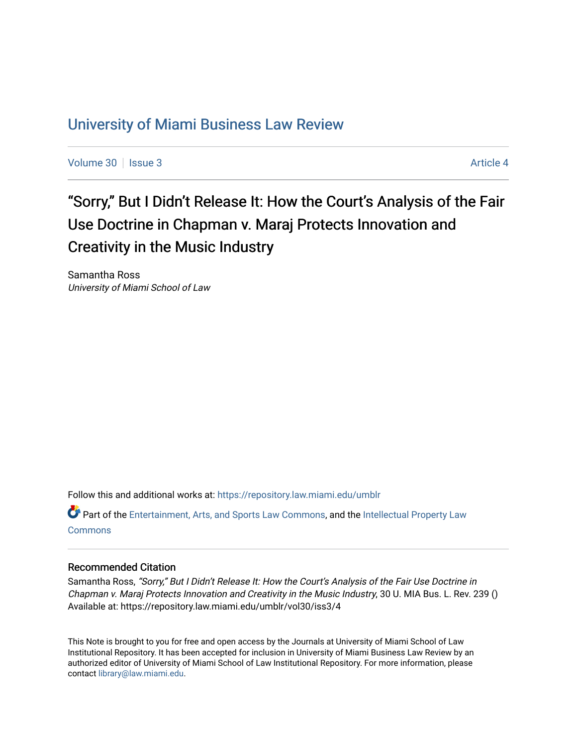# [University of Miami Business Law Review](https://repository.law.miami.edu/umblr)

[Volume 30](https://repository.law.miami.edu/umblr/vol30) | [Issue 3](https://repository.law.miami.edu/umblr/vol30/iss3) Article 4

# "Sorry," But I Didn't Release It: How the Court's Analysis of the Fair Use Doctrine in Chapman v. Maraj Protects Innovation and Creativity in the Music Industry

Samantha Ross University of Miami School of Law

Follow this and additional works at: [https://repository.law.miami.edu/umblr](https://repository.law.miami.edu/umblr?utm_source=repository.law.miami.edu%2Fumblr%2Fvol30%2Fiss3%2F4&utm_medium=PDF&utm_campaign=PDFCoverPages) 

Part of the [Entertainment, Arts, and Sports Law Commons](https://network.bepress.com/hgg/discipline/893?utm_source=repository.law.miami.edu%2Fumblr%2Fvol30%2Fiss3%2F4&utm_medium=PDF&utm_campaign=PDFCoverPages), and the [Intellectual Property Law](https://network.bepress.com/hgg/discipline/896?utm_source=repository.law.miami.edu%2Fumblr%2Fvol30%2Fiss3%2F4&utm_medium=PDF&utm_campaign=PDFCoverPages) [Commons](https://network.bepress.com/hgg/discipline/896?utm_source=repository.law.miami.edu%2Fumblr%2Fvol30%2Fiss3%2F4&utm_medium=PDF&utm_campaign=PDFCoverPages)

# Recommended Citation

Samantha Ross, "Sorry," But I Didn't Release It: How the Court's Analysis of the Fair Use Doctrine in Chapman v. Maraj Protects Innovation and Creativity in the Music Industry, 30 U. MIA Bus. L. Rev. 239 () Available at: https://repository.law.miami.edu/umblr/vol30/iss3/4

This Note is brought to you for free and open access by the Journals at University of Miami School of Law Institutional Repository. It has been accepted for inclusion in University of Miami Business Law Review by an authorized editor of University of Miami School of Law Institutional Repository. For more information, please contact [library@law.miami.edu](mailto:library@law.miami.edu).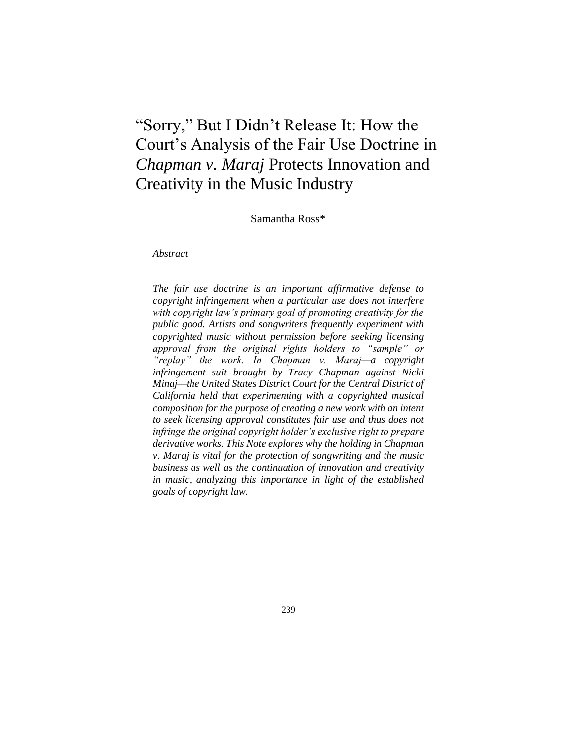# "Sorry," But I Didn't Release It: How the Court's Analysis of the Fair Use Doctrine in *Chapman v. Maraj* Protects Innovation and Creativity in the Music Industry

Samantha Ross\*

*Abstract*

*The fair use doctrine is an important affirmative defense to copyright infringement when a particular use does not interfere with copyright law's primary goal of promoting creativity for the public good. Artists and songwriters frequently experiment with copyrighted music without permission before seeking licensing approval from the original rights holders to "sample" or "replay" the work. In Chapman v. Maraj—a copyright infringement suit brought by Tracy Chapman against Nicki Minaj—the United States District Court for the Central District of California held that experimenting with a copyrighted musical composition for the purpose of creating a new work with an intent to seek licensing approval constitutes fair use and thus does not infringe the original copyright holder's exclusive right to prepare derivative works. This Note explores why the holding in Chapman v. Maraj is vital for the protection of songwriting and the music business as well as the continuation of innovation and creativity in music, analyzing this importance in light of the established goals of copyright law.*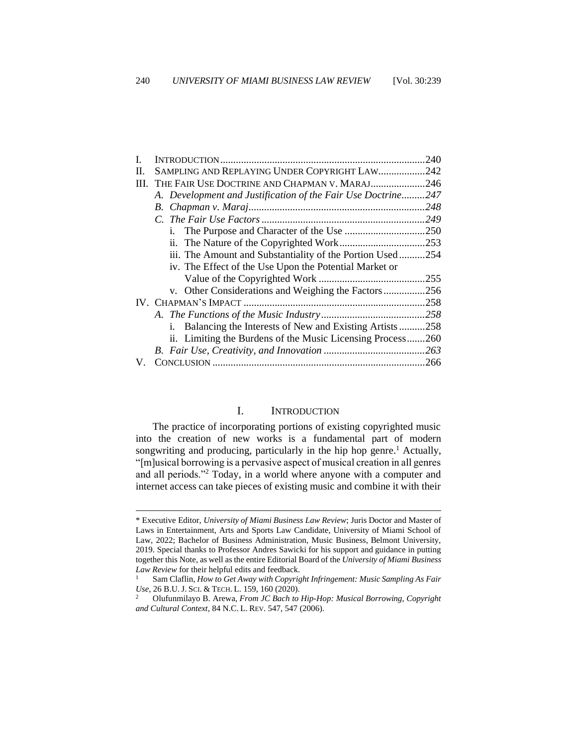|    |                                                              | 240 |
|----|--------------------------------------------------------------|-----|
| Н. | SAMPLING AND REPLAYING UNDER COPYRIGHT LAW242                |     |
|    | III. THE FAIR USE DOCTRINE AND CHAPMAN V. MARAJ246           |     |
|    | A. Development and Justification of the Fair Use Doctrine247 |     |
|    |                                                              | 248 |
|    |                                                              | 249 |
|    | 1.                                                           |     |
|    |                                                              |     |
|    | iii. The Amount and Substantiality of the Portion Used254    |     |
|    | iv. The Effect of the Use Upon the Potential Market or       |     |
|    |                                                              |     |
|    | v. Other Considerations and Weighing the Factors256          |     |
|    |                                                              |     |
|    |                                                              |     |
|    | Balancing the Interests of New and Existing Artists258<br>i. |     |
|    | ii. Limiting the Burdens of the Music Licensing Process260   |     |
|    |                                                              |     |
| V. |                                                              |     |
|    |                                                              |     |

#### I. INTRODUCTION

<span id="page-2-0"></span>The practice of incorporating portions of existing copyrighted music into the creation of new works is a fundamental part of modern songwriting and producing, particularly in the hip hop genre.<sup>1</sup> Actually, "[m]usical borrowing is a pervasive aspect of musical creation in all genres and all periods."<sup>2</sup> Today, in a world where anyone with a computer and internet access can take pieces of existing music and combine it with their

<sup>\*</sup> Executive Editor, *University of Miami Business Law Review*; Juris Doctor and Master of Laws in Entertainment, Arts and Sports Law Candidate, University of Miami School of Law, 2022; Bachelor of Business Administration, Music Business, Belmont University, 2019. Special thanks to Professor Andres Sawicki for his support and guidance in putting together this Note, as well as the entire Editorial Board of the *University of Miami Business Law Review* for their helpful edits and feedback.

<sup>1</sup> Sam Claflin, *How to Get Away with Copyright Infringement: Music Sampling As Fair Use*, 26 B.U. J. SCI. & TECH. L. 159, 160 (2020).

<sup>2</sup> Olufunmilayo B. Arewa, *From JC Bach to Hip-Hop: Musical Borrowing, Copyright and Cultural Context*, 84 N.C. L. REV. 547, 547 (2006).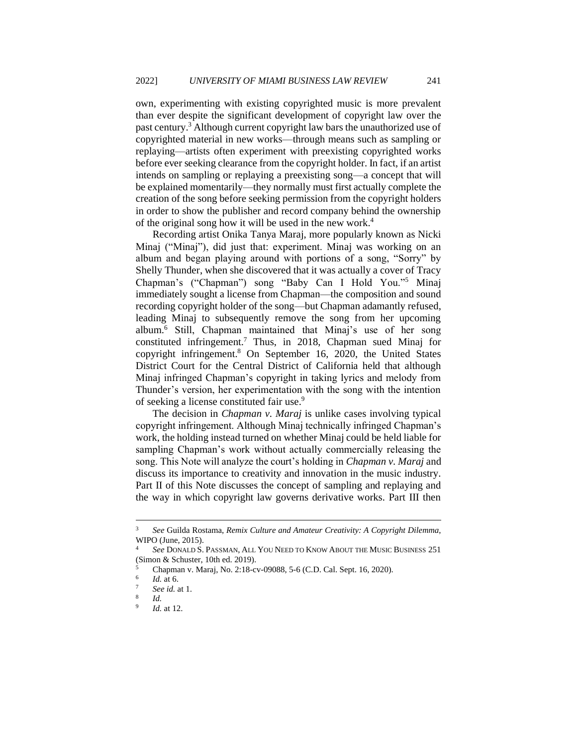own, experimenting with existing copyrighted music is more prevalent than ever despite the significant development of copyright law over the past century.<sup>3</sup> Although current copyright law bars the unauthorized use of copyrighted material in new works—through means such as sampling or replaying—artists often experiment with preexisting copyrighted works before ever seeking clearance from the copyright holder. In fact, if an artist intends on sampling or replaying a preexisting song—a concept that will be explained momentarily—they normally must first actually complete the creation of the song before seeking permission from the copyright holders in order to show the publisher and record company behind the ownership of the original song how it will be used in the new work.<sup>4</sup>

Recording artist Onika Tanya Maraj, more popularly known as Nicki Minaj ("Minaj"), did just that: experiment. Minaj was working on an album and began playing around with portions of a song, "Sorry" by Shelly Thunder, when she discovered that it was actually a cover of Tracy Chapman's ("Chapman") song "Baby Can I Hold You."<sup>5</sup> Minaj immediately sought a license from Chapman—the composition and sound recording copyright holder of the song—but Chapman adamantly refused, leading Minaj to subsequently remove the song from her upcoming album.<sup>6</sup> Still, Chapman maintained that Minaj's use of her song constituted infringement.<sup>7</sup> Thus, in 2018, Chapman sued Minaj for copyright infringement.<sup>8</sup> On September 16, 2020, the United States District Court for the Central District of California held that although Minaj infringed Chapman's copyright in taking lyrics and melody from Thunder's version, her experimentation with the song with the intention of seeking a license constituted fair use.<sup>9</sup>

The decision in *Chapman v. Maraj* is unlike cases involving typical copyright infringement. Although Minaj technically infringed Chapman's work, the holding instead turned on whether Minaj could be held liable for sampling Chapman's work without actually commercially releasing the song. This Note will analyze the court's holding in *Chapman v. Maraj* and discuss its importance to creativity and innovation in the music industry. Part II of this Note discusses the concept of sampling and replaying and the way in which copyright law governs derivative works. Part III then

<sup>3</sup> *See* Guilda Rostama, *Remix Culture and Amateur Creativity: A Copyright Dilemma*, WIPO (June, 2015).

See DONALD S. PASSMAN, ALL YOU NEED TO KNOW ABOUT THE MUSIC BUSINESS 251 (Simon & Schuster, 10th ed. 2019).

<sup>5</sup> Chapman v. Maraj, No. 2:18-cv-09088, 5-6 (C.D. Cal. Sept. 16, 2020).

<sup>6</sup> *Id.* at 6.

<sup>7</sup> *See id.* at 1.

<sup>8</sup> *Id.*

<sup>9</sup> *Id.* at 12.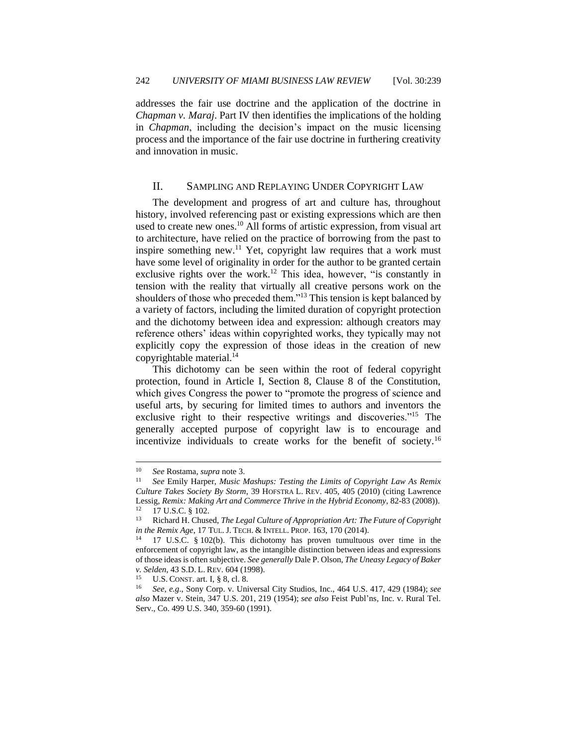addresses the fair use doctrine and the application of the doctrine in *Chapman v. Maraj*. Part IV then identifies the implications of the holding in *Chapman*, including the decision's impact on the music licensing process and the importance of the fair use doctrine in furthering creativity and innovation in music.

# <span id="page-4-0"></span>II. SAMPLING AND REPLAYING UNDER COPYRIGHT LAW

The development and progress of art and culture has, throughout history, involved referencing past or existing expressions which are then used to create new ones.<sup>10</sup> All forms of artistic expression, from visual art to architecture, have relied on the practice of borrowing from the past to inspire something new.<sup>11</sup> Yet, copyright law requires that a work must have some level of originality in order for the author to be granted certain exclusive rights over the work.<sup>12</sup> This idea, however, "is constantly in tension with the reality that virtually all creative persons work on the shoulders of those who preceded them."<sup>13</sup> This tension is kept balanced by a variety of factors, including the limited duration of copyright protection and the dichotomy between idea and expression: although creators may reference others' ideas within copyrighted works, they typically may not explicitly copy the expression of those ideas in the creation of new copyrightable material. $14$ 

This dichotomy can be seen within the root of federal copyright protection, found in Article I, Section 8, Clause 8 of the Constitution, which gives Congress the power to "promote the progress of science and useful arts, by securing for limited times to authors and inventors the exclusive right to their respective writings and discoveries."<sup>15</sup> The generally accepted purpose of copyright law is to encourage and incentivize individuals to create works for the benefit of society.<sup>16</sup>

<sup>10</sup> *See* Rostama, *supra* note 3.

<sup>11</sup> *See* Emily Harper, *Music Mashups: Testing the Limits of Copyright Law As Remix Culture Takes Society By Storm*, 39 HOFSTRA L. REV. 405, 405 (2010) (citing Lawrence Lessig, *Remix: Making Art and Commerce Thrive in the Hybrid Economy*, 82-83 (2008)).  $^{12}$  17 U.S.C. § 102.

<sup>13</sup> Richard H. Chused, *The Legal Culture of Appropriation Art: The Future of Copyright in the Remix Age*, 17 TUL.J. TECH. & INTELL. PROP. 163, 170 (2014).

<sup>14</sup> 17 U.S.C. § 102(b). This dichotomy has proven tumultuous over time in the enforcement of copyright law, as the intangible distinction between ideas and expressions of those ideas is often subjective. *See generally* Dale P. Olson, *The Uneasy Legacy of Baker v. Selden*, 43 S.D. L. REV. 604 (1998).

<sup>&</sup>lt;sup>15</sup> U.S. CONST. art. I, § 8, cl. 8.<br><sup>16</sup> See e.g. Sony Corp. y. Uni

<sup>16</sup> *See, e.g*., Sony Corp. v. Universal City Studios, Inc., 464 U.S. 417, 429 (1984); *see also* Mazer v. Stein, 347 U.S. 201, 219 (1954); *see also* Feist Publ'ns, Inc. v. Rural Tel. Serv., Co. 499 U.S. 340, 359-60 (1991).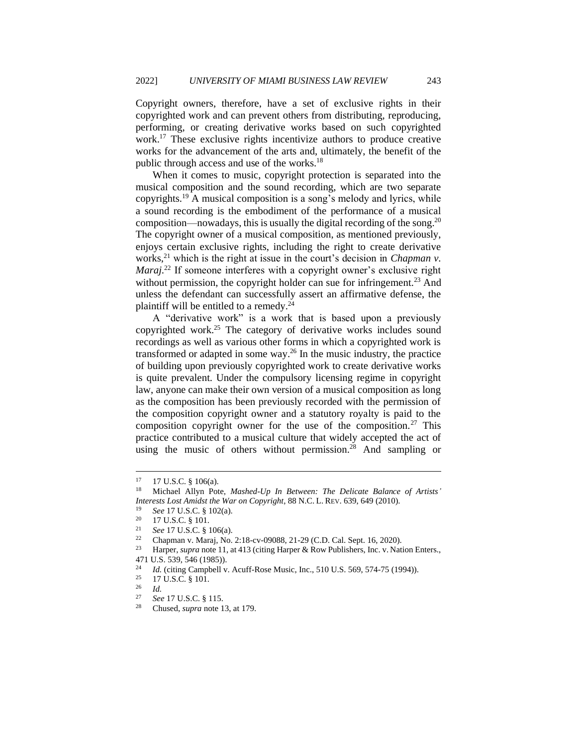Copyright owners, therefore, have a set of exclusive rights in their copyrighted work and can prevent others from distributing, reproducing, performing, or creating derivative works based on such copyrighted work.<sup>17</sup> These exclusive rights incentivize authors to produce creative works for the advancement of the arts and, ultimately, the benefit of the public through access and use of the works.<sup>18</sup>

When it comes to music, copyright protection is separated into the musical composition and the sound recording, which are two separate copyrights.<sup>19</sup> A musical composition is a song's melody and lyrics, while a sound recording is the embodiment of the performance of a musical composition—nowadays, this is usually the digital recording of the song. $20$ The copyright owner of a musical composition, as mentioned previously, enjoys certain exclusive rights, including the right to create derivative works,<sup>21</sup> which is the right at issue in the court's decision in *Chapman v*. *Maraj*<sup>22</sup> If someone interferes with a copyright owner's exclusive right without permission, the copyright holder can sue for infringement.<sup>23</sup> And unless the defendant can successfully assert an affirmative defense, the plaintiff will be entitled to a remedy. $^{24}$ 

A "derivative work" is a work that is based upon a previously copyrighted work.<sup>25</sup> The category of derivative works includes sound recordings as well as various other forms in which a copyrighted work is transformed or adapted in some way.<sup>26</sup> In the music industry, the practice of building upon previously copyrighted work to create derivative works is quite prevalent. Under the compulsory licensing regime in copyright law, anyone can make their own version of a musical composition as long as the composition has been previously recorded with the permission of the composition copyright owner and a statutory royalty is paid to the composition copyright owner for the use of the composition.<sup>27</sup> This practice contributed to a musical culture that widely accepted the act of using the music of others without permission.<sup>28</sup> And sampling or

 $^{17}$  17 U.S.C.  $\frac{8}{9}$  106(a).

<sup>18</sup> Michael Allyn Pote, *Mashed-Up In Between: The Delicate Balance of Artists' Interests Lost Amidst the War on Copyright*, 88 N.C. L. REV. 639, 649 (2010).

<sup>19</sup> *See* 17 U.S.C. § 102(a).

 $\frac{20}{21}$  17 U.S.C. § 101.

<sup>21</sup> *See* 17 U.S.C. § 106(a).

<sup>&</sup>lt;sup>22</sup> Chapman v. Maraj, No. 2:18-cv-09088, 21-29 (C.D. Cal. Sept. 16, 2020).<br><sup>23</sup> Harper, sunga pota 11 at 413 (citing Harper & Bour Publishers, Inc. y. Not

Harper, *supra* note 11, at 413 (citing Harper & Row Publishers, Inc. v. Nation Enters., 471 U.S. 539, 546 (1985)).

<sup>&</sup>lt;sup>24</sup> *Id.* (citing Campbell v. Acuff-Rose Music, Inc., 510 U.S. 569, 574-75 (1994)).<br><sup>25</sup> 17 U.S.C. 8 101

 $rac{25}{26}$  17 U.S.C. § 101.

 $rac{26}{27}$  *Id.* 

<sup>27</sup> *See* 17 U.S.C. § 115.

<sup>28</sup> Chused, *supra* note 13, at 179.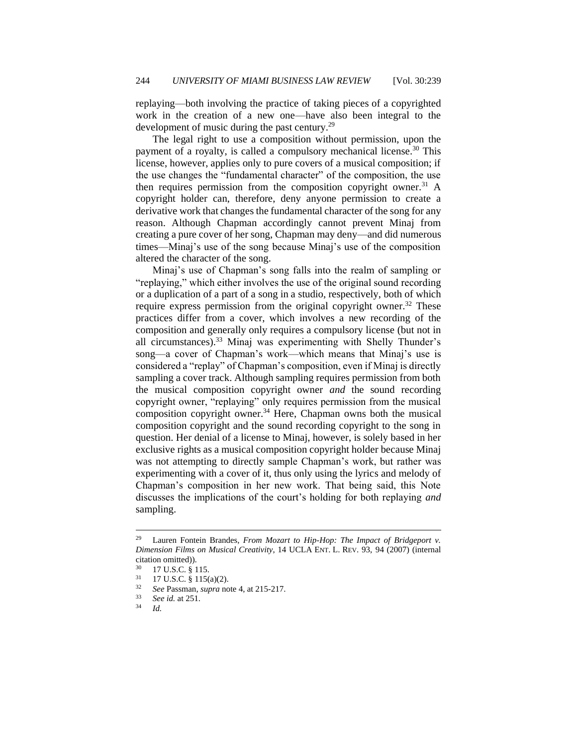replaying—both involving the practice of taking pieces of a copyrighted work in the creation of a new one—have also been integral to the development of music during the past century.<sup>29</sup>

The legal right to use a composition without permission, upon the payment of a royalty, is called a compulsory mechanical license.<sup>30</sup> This license, however, applies only to pure covers of a musical composition; if the use changes the "fundamental character" of the composition, the use then requires permission from the composition copyright owner.<sup>31</sup> A copyright holder can, therefore, deny anyone permission to create a derivative work that changes the fundamental character of the song for any reason. Although Chapman accordingly cannot prevent Minaj from creating a pure cover of her song, Chapman may deny—and did numerous times—Minaj's use of the song because Minaj's use of the composition altered the character of the song.

Minaj's use of Chapman's song falls into the realm of sampling or "replaying," which either involves the use of the original sound recording or a duplication of a part of a song in a studio, respectively, both of which require express permission from the original copyright owner.<sup>32</sup> These practices differ from a cover, which involves a new recording of the composition and generally only requires a compulsory license (but not in all circumstances).<sup>33</sup> Minaj was experimenting with Shelly Thunder's song—a cover of Chapman's work—which means that Minaj's use is considered a "replay" of Chapman's composition, even if Minaj is directly sampling a cover track. Although sampling requires permission from both the musical composition copyright owner *and* the sound recording copyright owner, "replaying" only requires permission from the musical composition copyright owner.<sup>34</sup> Here, Chapman owns both the musical composition copyright and the sound recording copyright to the song in question. Her denial of a license to Minaj, however, is solely based in her exclusive rights as a musical composition copyright holder because Minaj was not attempting to directly sample Chapman's work, but rather was experimenting with a cover of it, thus only using the lyrics and melody of Chapman's composition in her new work. That being said, this Note discusses the implications of the court's holding for both replaying *and* sampling.

<sup>29</sup> Lauren Fontein Brandes, *From Mozart to Hip-Hop: The Impact of Bridgeport v. Dimension Films on Musical Creativity*, 14 UCLA ENT. L. REV. 93, 94 (2007) (internal citation omitted)).

 $\frac{30}{31}$  17 U.S.C. § 115.

 $\frac{31}{32}$  17 U.S.C. § 115(a)(2).

<sup>32</sup> *See* Passman, *supra* note 4, at 215-217.

<sup>33</sup> *See id.* at 251.

<sup>34</sup> *Id.*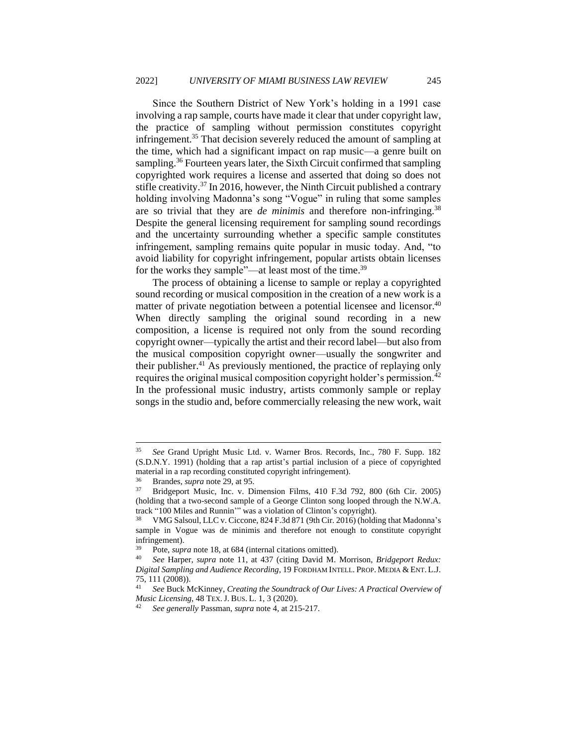Since the Southern District of New York's holding in a 1991 case involving a rap sample, courts have made it clear that under copyright law, the practice of sampling without permission constitutes copyright infringement.<sup>35</sup> That decision severely reduced the amount of sampling at the time, which had a significant impact on rap music—a genre built on sampling.<sup>36</sup> Fourteen years later, the Sixth Circuit confirmed that sampling copyrighted work requires a license and asserted that doing so does not stifle creativity.<sup>37</sup> In 2016, however, the Ninth Circuit published a contrary holding involving Madonna's song "Vogue" in ruling that some samples are so trivial that they are *de minimis* and therefore non-infringing.<sup>38</sup> Despite the general licensing requirement for sampling sound recordings and the uncertainty surrounding whether a specific sample constitutes infringement, sampling remains quite popular in music today. And, "to avoid liability for copyright infringement, popular artists obtain licenses for the works they sample"—at least most of the time.<sup>39</sup>

The process of obtaining a license to sample or replay a copyrighted sound recording or musical composition in the creation of a new work is a matter of private negotiation between a potential licensee and licensor.<sup>40</sup> When directly sampling the original sound recording in a new composition, a license is required not only from the sound recording copyright owner—typically the artist and their record label—but also from the musical composition copyright owner—usually the songwriter and their publisher.<sup>41</sup> As previously mentioned, the practice of replaying only requires the original musical composition copyright holder's permission.<sup>42</sup> In the professional music industry, artists commonly sample or replay songs in the studio and, before commercially releasing the new work, wait

<sup>35</sup> *See* Grand Upright Music Ltd. v. Warner Bros. Records, Inc., 780 F. Supp. 182 (S.D.N.Y. 1991) (holding that a rap artist's partial inclusion of a piece of copyrighted material in a rap recording constituted copyright infringement).

<sup>&</sup>lt;sup>36</sup> Brandes, *supra* note 29, at 95.<br><sup>37</sup> Bridgeport Music Inc. y. Di

<sup>37</sup> Bridgeport Music, Inc. v. Dimension Films, 410 F.3d 792, 800 (6th Cir. 2005) (holding that a two-second sample of a George Clinton song looped through the N.W.A. track "100 Miles and Runnin'" was a violation of Clinton's copyright).

<sup>38</sup> VMG Salsoul, LLC v. Ciccone, 824 F.3d 871 (9th Cir. 2016) (holding that Madonna's sample in Vogue was de minimis and therefore not enough to constitute copyright infringement).

<sup>&</sup>lt;sup>39</sup> Pote, *supra* note 18, at 684 (internal citations omitted).<br><sup>40</sup> See Harper, supra note 11, at 437 (citing David M

<sup>40</sup> *See* Harper, *supra* note 11, at 437 (citing David M. Morrison, *Bridgeport Redux: Digital Sampling and Audience Recording*, 19 FORDHAM INTELL. PROP. MEDIA & ENT. L.J. 75, 111 (2008)).<br> $^{41}$  See Buck M

<sup>41</sup> *See* Buck McKinney, *Creating the Soundtrack of Our Lives: A Practical Overview of Music Licensing*, 48 TEX.J. BUS. L. 1, 3 (2020).

<sup>42</sup> *See generally* Passman, *supra* note 4, at 215-217.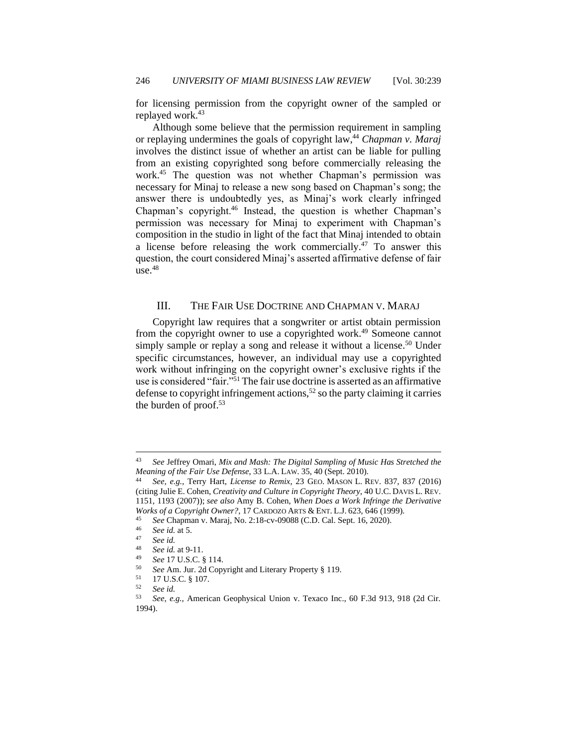for licensing permission from the copyright owner of the sampled or replayed work.<sup>43</sup>

Although some believe that the permission requirement in sampling or replaying undermines the goals of copyright law,<sup>44</sup> *Chapman v. Maraj* involves the distinct issue of whether an artist can be liable for pulling from an existing copyrighted song before commercially releasing the work.<sup>45</sup> The question was not whether Chapman's permission was necessary for Minaj to release a new song based on Chapman's song; the answer there is undoubtedly yes, as Minaj's work clearly infringed Chapman's copyright.<sup>46</sup> Instead, the question is whether Chapman's permission was necessary for Minaj to experiment with Chapman's composition in the studio in light of the fact that Minaj intended to obtain a license before releasing the work commercially.<sup>47</sup> To answer this question, the court considered Minaj's asserted affirmative defense of fair use.<sup>48</sup>

# <span id="page-8-0"></span>III. THE FAIR USE DOCTRINE AND CHAPMAN V. MARAJ

Copyright law requires that a songwriter or artist obtain permission from the copyright owner to use a copyrighted work.<sup>49</sup> Someone cannot simply sample or replay a song and release it without a license.<sup>50</sup> Under specific circumstances, however, an individual may use a copyrighted work without infringing on the copyright owner's exclusive rights if the use is considered "fair."<sup>51</sup> The fair use doctrine is asserted as an affirmative defense to copyright infringement actions,<sup>52</sup> so the party claiming it carries the burden of proof.<sup>53</sup>

<sup>43</sup> *See* Jeffrey Omari, *Mix and Mash: The Digital Sampling of Music Has Stretched the Meaning of the Fair Use Defense*, 33 L.A. LAW. 35, 40 (Sept. 2010).

<sup>44</sup> *See, e.g.*, Terry Hart, *License to Remix*, 23 GEO. MASON L. REV. 837, 837 (2016) (citing Julie E. Cohen, *Creativity and Culture in Copyright Theory*, 40 U.C. DAVIS L. REV. 1151, 1193 (2007)); *see also* Amy B. Cohen, *When Does a Work Infringe the Derivative Works of a Copyright Owner?*, 17 CARDOZO ARTS & ENT. L.J. 623, 646 (1999).

<sup>&</sup>lt;sup>45</sup> *See* Chapman v. Maraj, No. 2:18-cv-09088 (C.D. Cal. Sept. 16, 2020).

 $^{46}$  *See id.* at 5.

<sup>47</sup> *See id.*

<sup>&</sup>lt;sup>48</sup> *See id.* at 9-11.

<sup>49</sup> *See* 17 U.S.C. § 114.

<sup>&</sup>lt;sup>50</sup> *See* Am. Jur. 2d Copyright and Literary Property § 119.<br><sup>51</sup> 17 U S C & 107

 $^{51}$  17 U.S.C. § 107.<br>  $^{52}$  See id

<sup>52</sup> *See id.*

<sup>53</sup> *See, e.g.*, American Geophysical Union v. Texaco Inc., 60 F.3d 913, 918 (2d Cir. 1994).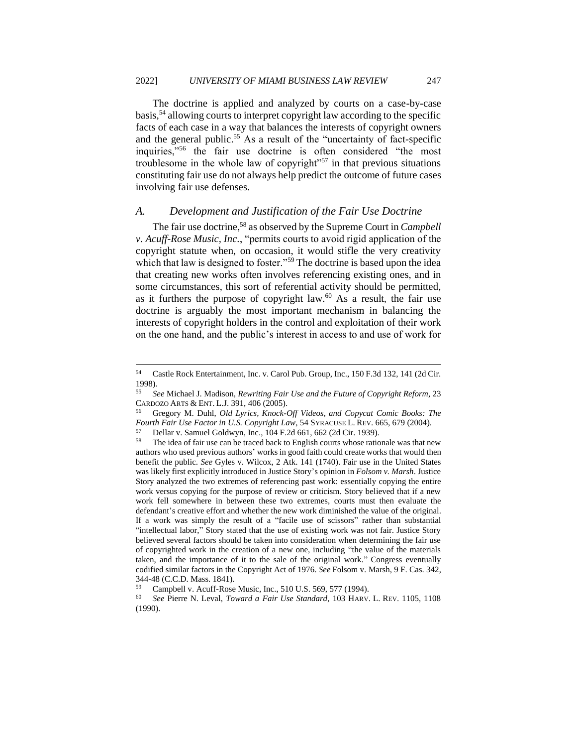The doctrine is applied and analyzed by courts on a case-by-case basis,<sup>54</sup> allowing courts to interpret copyright law according to the specific facts of each case in a way that balances the interests of copyright owners and the general public.<sup>55</sup> As a result of the "uncertainty of fact-specific inquiries,"<sup>56</sup> the fair use doctrine is often considered "the most troublesome in the whole law of copyright"<sup>57</sup> in that previous situations constituting fair use do not always help predict the outcome of future cases involving fair use defenses.

# <span id="page-9-0"></span>*A. Development and Justification of the Fair Use Doctrine*

The fair use doctrine,<sup>58</sup> as observed by the Supreme Court in *Campbell v. Acuff-Rose Music, Inc.*, "permits courts to avoid rigid application of the copyright statute when, on occasion, it would stifle the very creativity which that law is designed to foster."<sup>59</sup> The doctrine is based upon the idea that creating new works often involves referencing existing ones, and in some circumstances, this sort of referential activity should be permitted, as it furthers the purpose of copyright law. $60$  As a result, the fair use doctrine is arguably the most important mechanism in balancing the interests of copyright holders in the control and exploitation of their work on the one hand, and the public's interest in access to and use of work for

<sup>54</sup> Castle Rock Entertainment, Inc. v. Carol Pub. Group, Inc., 150 F.3d 132, 141 (2d Cir.  $1998$ ).<br>55 C.

<sup>55</sup> *See* Michael J. Madison, *Rewriting Fair Use and the Future of Copyright Reform*, 23 CARDOZO ARTS & ENT. L.J. 391, 406 (2005).

<sup>56</sup> Gregory M. Duhl, *Old Lyrics, Knock-Off Videos, and Copycat Comic Books: The Fourth Fair Use Factor in U.S. Copyright Law*, 54 SYRACUSE L. REV. 665, 679 (2004).

<sup>&</sup>lt;sup>57</sup> Dellar v. Samuel Goldwyn, Inc., 104 F.2d 661, 662 (2d Cir. 1939).<br><sup>58</sup> The idea of fair use can be traced back to English courts whose ratio

The idea of fair use can be traced back to English courts whose rationale was that new authors who used previous authors' works in good faith could create works that would then benefit the public. *See* Gyles v. Wilcox, 2 Atk. 141 (1740). Fair use in the United States was likely first explicitly introduced in Justice Story's opinion in *Folsom v. Marsh*. Justice Story analyzed the two extremes of referencing past work: essentially copying the entire work versus copying for the purpose of review or criticism. Story believed that if a new work fell somewhere in between these two extremes, courts must then evaluate the defendant's creative effort and whether the new work diminished the value of the original. If a work was simply the result of a "facile use of scissors" rather than substantial "intellectual labor," Story stated that the use of existing work was not fair. Justice Story believed several factors should be taken into consideration when determining the fair use of copyrighted work in the creation of a new one, including "the value of the materials taken, and the importance of it to the sale of the original work." Congress eventually codified similar factors in the Copyright Act of 1976. *See* Folsom v. Marsh, 9 F. Cas. 342, 344-48 (C.C.D. Mass. 1841).

<sup>&</sup>lt;sup>59</sup> Campbell v. Acuff-Rose Music, Inc., 510 U.S. 569, 577 (1994).<br><sup>60</sup> See Pierre N. Laval, *Toward a Fair Use Standard*, 103 Hapy

<sup>60</sup> *See* Pierre N. Leval, *Toward a Fair Use Standard*, 103 HARV. L. REV. 1105, 1108 (1990).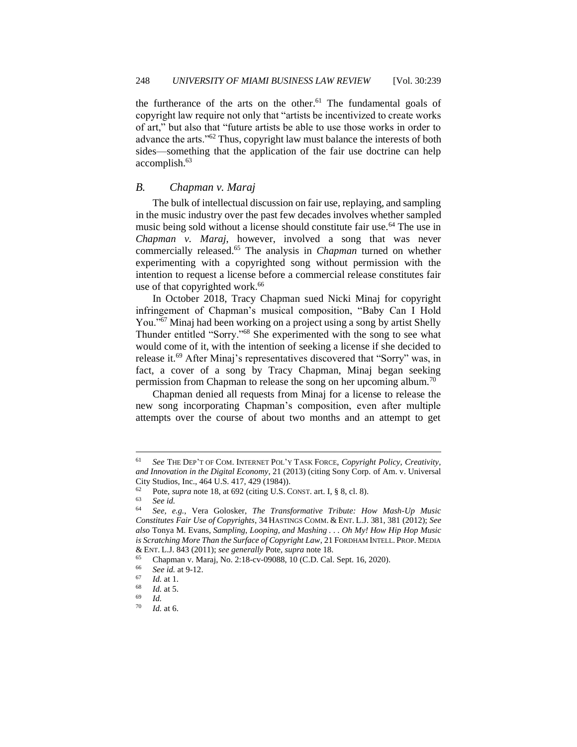the furtherance of the arts on the other.<sup>61</sup> The fundamental goals of copyright law require not only that "artists be incentivized to create works of art," but also that "future artists be able to use those works in order to advance the arts."<sup>62</sup> Thus, copyright law must balance the interests of both sides—something that the application of the fair use doctrine can help accomplish.<sup>63</sup>

### <span id="page-10-0"></span>*B. Chapman v. Maraj*

The bulk of intellectual discussion on fair use, replaying, and sampling in the music industry over the past few decades involves whether sampled music being sold without a license should constitute fair use.<sup>64</sup> The use in *Chapman v. Maraj*, however, involved a song that was never commercially released.<sup>65</sup> The analysis in *Chapman* turned on whether experimenting with a copyrighted song without permission with the intention to request a license before a commercial release constitutes fair use of that copyrighted work.<sup>66</sup>

In October 2018, Tracy Chapman sued Nicki Minaj for copyright infringement of Chapman's musical composition, "Baby Can I Hold You."<sup>67</sup> Minaj had been working on a project using a song by artist Shelly Thunder entitled "Sorry."<sup>68</sup> She experimented with the song to see what would come of it, with the intention of seeking a license if she decided to release it.<sup>69</sup> After Minaj's representatives discovered that "Sorry" was, in fact, a cover of a song by Tracy Chapman, Minaj began seeking permission from Chapman to release the song on her upcoming album.<sup>70</sup>

Chapman denied all requests from Minaj for a license to release the new song incorporating Chapman's composition, even after multiple attempts over the course of about two months and an attempt to get

<sup>61</sup> *See* THE DEP'T OF COM. INTERNET POL'Y TASK FORCE, *Copyright Policy, Creativity, and Innovation in the Digital Economy*, 21 (2013) (citing Sony Corp. of Am. v. Universal City Studios, Inc., 464 U.S. 417, 429 (1984)).

<sup>&</sup>lt;sup>62</sup> Pote, *supra* note 18, at 692 (citing U.S. CONST. art. I, § 8, cl. 8).

<sup>63</sup> *See id.*

<sup>64</sup> *See, e.g.*, Vera Golosker, *The Transformative Tribute: How Mash-Up Music Constitutes Fair Use of Copyrights*, 34 HASTINGS COMM. & ENT. L.J. 381, 381 (2012); *See also* Tonya M. Evans, *Sampling, Looping, and Mashing . . . Oh My! How Hip Hop Music is Scratching More Than the Surface of Copyright Law*, 21 FORDHAM INTELL. PROP. MEDIA & ENT. L.J. 843 (2011); *see generally* Pote, *supra* note 18.

<sup>65</sup> Chapman v. Maraj, No. 2:18-cv-09088, 10 (C.D. Cal. Sept. 16, 2020).<br>66 See id at 9-12

<sup>66</sup> *See id.* at 9-12.

 $\begin{array}{cc} 67 & \text{Id. at 1.} \\ 68 & \text{Id. at 5.} \end{array}$ 

 $\frac{68}{69}$  *Id.* at 5.

 $\frac{69}{70}$  *Id.* 

*Id.* at 6.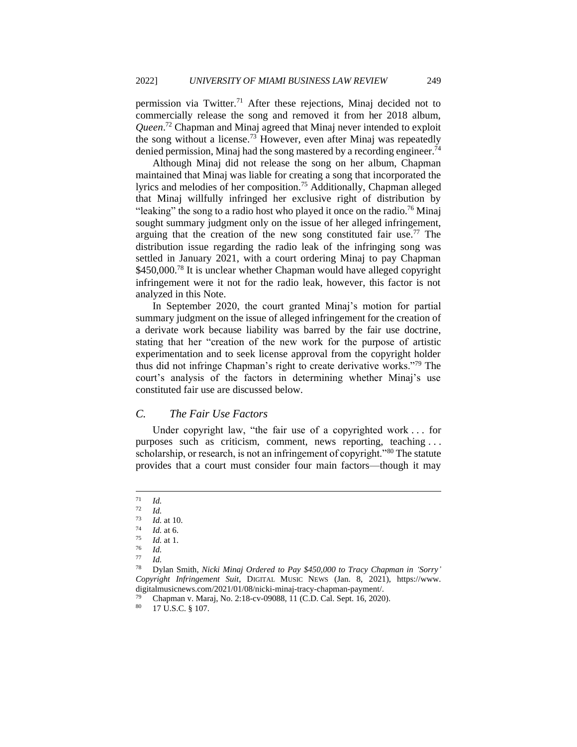permission via Twitter.<sup>71</sup> After these rejections, Minaj decided not to commercially release the song and removed it from her 2018 album, *Queen*. <sup>72</sup> Chapman and Minaj agreed that Minaj never intended to exploit the song without a license.<sup>73</sup> However, even after Minaj was repeatedly denied permission, Minaj had the song mastered by a recording engineer.<sup>74</sup>

Although Minaj did not release the song on her album, Chapman maintained that Minaj was liable for creating a song that incorporated the lyrics and melodies of her composition.<sup>75</sup> Additionally, Chapman alleged that Minaj willfully infringed her exclusive right of distribution by "leaking" the song to a radio host who played it once on the radio.<sup>76</sup> Minaj sought summary judgment only on the issue of her alleged infringement, arguing that the creation of the new song constituted fair use.<sup>77</sup> The distribution issue regarding the radio leak of the infringing song was settled in January 2021, with a court ordering Minaj to pay Chapman \$450,000.<sup>78</sup> It is unclear whether Chapman would have alleged copyright infringement were it not for the radio leak, however, this factor is not analyzed in this Note.

In September 2020, the court granted Minaj's motion for partial summary judgment on the issue of alleged infringement for the creation of a derivate work because liability was barred by the fair use doctrine, stating that her "creation of the new work for the purpose of artistic experimentation and to seek license approval from the copyright holder thus did not infringe Chapman's right to create derivative works."<sup>79</sup> The court's analysis of the factors in determining whether Minaj's use constituted fair use are discussed below.

#### <span id="page-11-0"></span>*C. The Fair Use Factors*

Under copyright law, "the fair use of a copyrighted work . . . for purposes such as criticism, comment, news reporting, teaching . . . scholarship, or research, is not an infringement of copyright."80 The statute provides that a court must consider four main factors—though it may

 $rac{71}{72}$  *Id.* 

 $\frac{72}{73}$  *Id.* 

 $\frac{73}{74}$  *Id.* at 10.

 $\frac{74}{75}$  *Id.* at 6.

 $\frac{75}{76}$  *Id.* at 1.

 $rac{76}{77}$  *Id.* 

 $\frac{77}{78}$  *Id.* 

<sup>78</sup> Dylan Smith, *Nicki Minaj Ordered to Pay \$450,000 to Tracy Chapman in 'Sorry' Copyright Infringement Suit*, DIGITAL MUSIC NEWS (Jan. 8, 2021), https://www. digitalmusicnews.com/2021/01/08/nicki-minaj-tracy-chapman-payment/.

 $^{79}$  Chapman v. Maraj, No. 2:18-cv-09088, 11 (C.D. Cal. Sept. 16, 2020).

<sup>17</sup> U.S.C. § 107.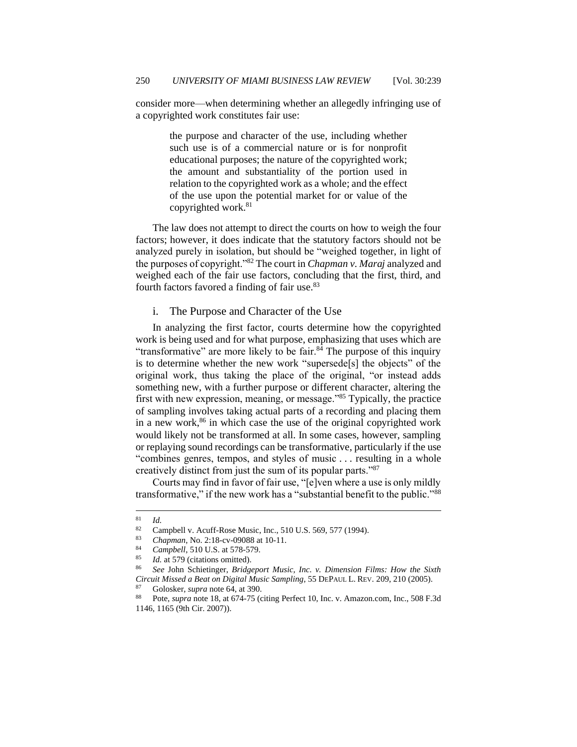consider more—when determining whether an allegedly infringing use of a copyrighted work constitutes fair use:

> the purpose and character of the use, including whether such use is of a commercial nature or is for nonprofit educational purposes; the nature of the copyrighted work; the amount and substantiality of the portion used in relation to the copyrighted work as a whole; and the effect of the use upon the potential market for or value of the copyrighted work.<sup>81</sup>

The law does not attempt to direct the courts on how to weigh the four factors; however, it does indicate that the statutory factors should not be analyzed purely in isolation, but should be "weighed together, in light of the purposes of copyright."<sup>82</sup> The court in *Chapman v. Maraj* analyzed and weighed each of the fair use factors, concluding that the first, third, and fourth factors favored a finding of fair use.<sup>83</sup>

<span id="page-12-0"></span>i. The Purpose and Character of the Use

In analyzing the first factor, courts determine how the copyrighted work is being used and for what purpose, emphasizing that uses which are "transformative" are more likely to be fair. $84$  The purpose of this inquiry is to determine whether the new work "supersede[s] the objects" of the original work, thus taking the place of the original, "or instead adds something new, with a further purpose or different character, altering the first with new expression, meaning, or message."<sup>85</sup> Typically, the practice of sampling involves taking actual parts of a recording and placing them in a new work,<sup>86</sup> in which case the use of the original copyrighted work would likely not be transformed at all. In some cases, however, sampling or replaying sound recordings can be transformative, particularly if the use "combines genres, tempos, and styles of music . . . resulting in a whole creatively distinct from just the sum of its popular parts."<sup>87</sup>

Courts may find in favor of fair use, "[e]ven where a use is only mildly transformative," if the new work has a "substantial benefit to the public."<sup>88</sup>

 $rac{81}{82}$  *Id.* 

<sup>82</sup> Campbell v. Acuff-Rose Music, Inc., 510 U.S. 569, 577 (1994).<br>  $\frac{83}{10}$  Channel No. 2:18 av 00088 at 10.11

<sup>83</sup> *Chapman*, No. 2:18-cv-09088 at 10-11.

<sup>84</sup> *Campbell*, 510 U.S. at 578-579.

Id. at 579 (citations omitted).

<sup>86</sup> *See* John Schietinger, *Bridgeport Music, Inc. v. Dimension Films: How the Sixth Circuit Missed a Beat on Digital Music Sampling*, 55 DEPAUL L. REV. 209, 210 (2005).

<sup>87</sup> Golosker, *supra* note 64, at 390.

<sup>88</sup> Pote, *supra* note 18, at 674-75 (citing Perfect 10, Inc. v. Amazon.com, Inc., 508 F.3d 1146, 1165 (9th Cir. 2007)).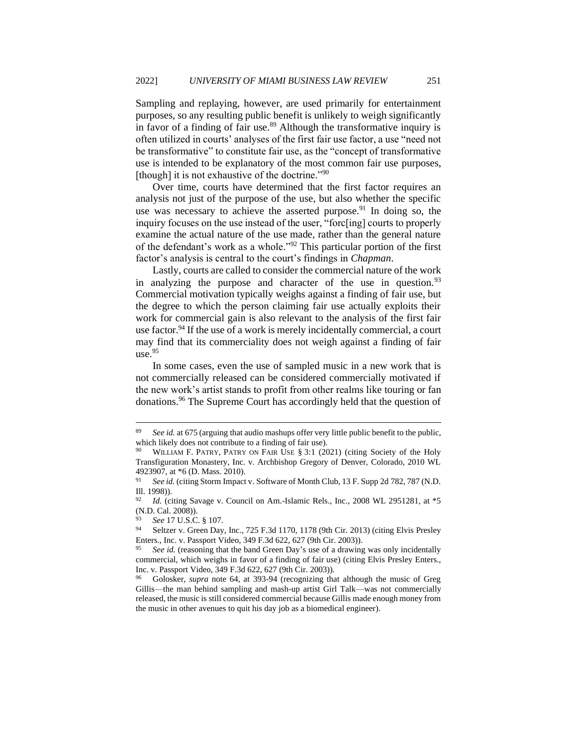Sampling and replaying, however, are used primarily for entertainment purposes, so any resulting public benefit is unlikely to weigh significantly in favor of a finding of fair use. $89$  Although the transformative inquiry is often utilized in courts' analyses of the first fair use factor, a use "need not be transformative" to constitute fair use, as the "concept of transformative use is intended to be explanatory of the most common fair use purposes, [though] it is not exhaustive of the doctrine."<sup>90</sup>

Over time, courts have determined that the first factor requires an analysis not just of the purpose of the use, but also whether the specific use was necessary to achieve the asserted purpose.<sup>91</sup> In doing so, the inquiry focuses on the use instead of the user, "forc[ing] courts to properly examine the actual nature of the use made, rather than the general nature of the defendant's work as a whole."<sup>92</sup> This particular portion of the first factor's analysis is central to the court's findings in *Chapman*.

Lastly, courts are called to consider the commercial nature of the work in analyzing the purpose and character of the use in question.<sup>93</sup> Commercial motivation typically weighs against a finding of fair use, but the degree to which the person claiming fair use actually exploits their work for commercial gain is also relevant to the analysis of the first fair use factor.<sup>94</sup> If the use of a work is merely incidentally commercial, a court may find that its commerciality does not weigh against a finding of fair use.<sup>95</sup>

In some cases, even the use of sampled music in a new work that is not commercially released can be considered commercially motivated if the new work's artist stands to profit from other realms like touring or fan donations.<sup>96</sup> The Supreme Court has accordingly held that the question of

<sup>89</sup> *See id.* at 675 (arguing that audio mashups offer very little public benefit to the public, which likely does not contribute to a finding of fair use).

WILLIAM F. PATRY, PATRY ON FAIR USE § 3:1 (2021) (citing Society of the Holy Transfiguration Monastery, Inc. v. Archbishop Gregory of Denver, Colorado, 2010 WL 4923907, at  $*6$  (D. Mass. 2010).<br><sup>91</sup> See id. (citing Storm Impact

See id. (citing Storm Impact v. Software of Month Club, 13 F. Supp 2d 782, 787 (N.D. Ill. 1998)).

*Id.* (citing Savage v. Council on Am.-Islamic Rels., Inc., 2008 WL 2951281, at \*5 (N.D. Cal. 2008)).

<sup>93</sup> *See* 17 U.S.C. § 107.

<sup>94</sup> Seltzer v. Green Day, Inc., 725 F.3d 1170, 1178 (9th Cir. 2013) (citing Elvis Presley Enters., Inc. v. Passport Video, 349 F.3d 622, 627 (9th Cir. 2003)).

See id. (reasoning that the band Green Day's use of a drawing was only incidentally commercial, which weighs in favor of a finding of fair use) (citing Elvis Presley Enters., Inc. v. Passport Video, 349 F.3d 622, 627 (9th Cir. 2003)).

<sup>96</sup> Golosker, *supra* note 64, at 393-94 (recognizing that although the music of Greg Gillis—the man behind sampling and mash-up artist Girl Talk—was not commercially released, the music is still considered commercial because Gillis made enough money from the music in other avenues to quit his day job as a biomedical engineer).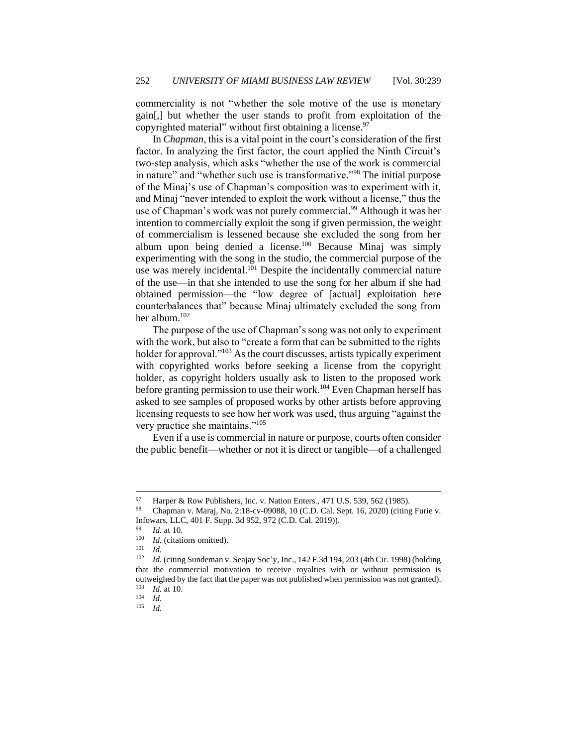commerciality is not "whether the sole motive of the use is monetary gain[,] but whether the user stands to profit from exploitation of the copyrighted material" without first obtaining a license.<sup>97</sup>

In *Chapman*, this is a vital point in the court's consideration of the first factor. In analyzing the first factor, the court applied the Ninth Circuit's two-step analysis, which asks "whether the use of the work is commercial in nature" and "whether such use is transformative."<sup>98</sup> The initial purpose of the Minaj's use of Chapman's composition was to experiment with it, and Minaj "never intended to exploit the work without a license," thus the use of Chapman's work was not purely commercial.<sup>99</sup> Although it was her intention to commercially exploit the song if given permission, the weight of commercialism is lessened because she excluded the song from her album upon being denied a license.<sup>100</sup> Because Minaj was simply experimenting with the song in the studio, the commercial purpose of the use was merely incidental.<sup>101</sup> Despite the incidentally commercial nature of the use—in that she intended to use the song for her album if she had obtained permission—the "low degree of [actual] exploitation here counterbalances that" because Minaj ultimately excluded the song from her album.<sup>102</sup>

The purpose of the use of Chapman's song was not only to experiment with the work, but also to "create a form that can be submitted to the rights holder for approval."<sup>103</sup> As the court discusses, artists typically experiment with copyrighted works before seeking a license from the copyright holder, as copyright holders usually ask to listen to the proposed work before granting permission to use their work.<sup>104</sup> Even Chapman herself has asked to see samples of proposed works by other artists before approving licensing requests to see how her work was used, thus arguing "against the very practice she maintains."<sup>105</sup>

Even if a use is commercial in nature or purpose, courts often consider the public benefit—whether or not it is direct or tangible—of a challenged

<sup>&</sup>lt;sup>97</sup> Harper & Row Publishers, Inc. v. Nation Enters., 471 U.S. 539, 562 (1985).

<sup>98</sup> Chapman v. Maraj, No. 2:18-cv-09088, 10 (C.D. Cal. Sept. 16, 2020) (citing Furie v. Infowars, LLC, 401 F. Supp. 3d 952, 972 (C.D. Cal. 2019)).

<sup>99</sup> *Id.* at 10.

 $\frac{100}{101}$  *Id.* (citations omitted).

 $\frac{101}{102}$  *Id.* 

Id. (citing Sundeman v. Seajay Soc'y, Inc., 142 F.3d 194, 203 (4th Cir. 1998) (holding that the commercial motivation to receive royalties with or without permission is outweighed by the fact that the paper was not published when permission was not granted).<br> $\frac{103}{Id}$  at 10  $\frac{103}{104}$  *Id.* at 10.

 $\frac{104}{105}$  *Id.* 

*Id.*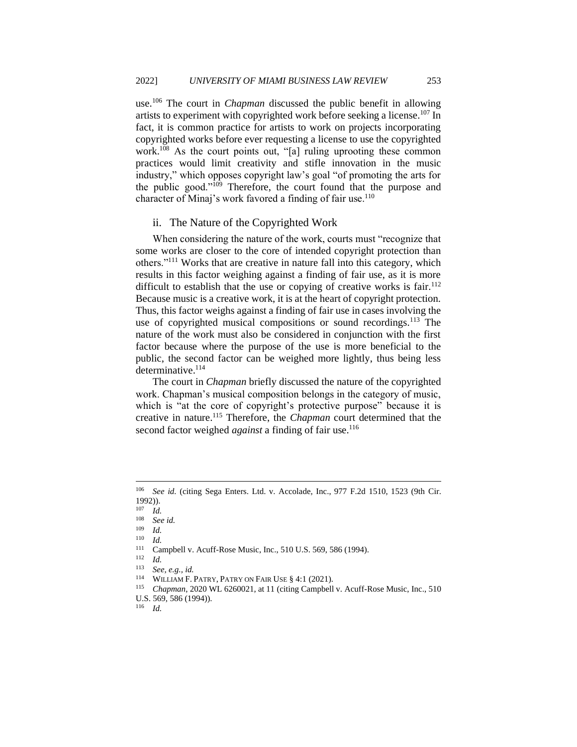use.<sup>106</sup> The court in *Chapman* discussed the public benefit in allowing artists to experiment with copyrighted work before seeking a license.<sup>107</sup> In fact, it is common practice for artists to work on projects incorporating copyrighted works before ever requesting a license to use the copyrighted work.<sup>108</sup> As the court points out, "[a] ruling uprooting these common practices would limit creativity and stifle innovation in the music industry," which opposes copyright law's goal "of promoting the arts for the public good."<sup>109</sup> Therefore, the court found that the purpose and character of Minaj's work favored a finding of fair use.<sup>110</sup>

#### <span id="page-15-0"></span>ii. The Nature of the Copyrighted Work

When considering the nature of the work, courts must "recognize that some works are closer to the core of intended copyright protection than others."<sup>111</sup> Works that are creative in nature fall into this category, which results in this factor weighing against a finding of fair use, as it is more difficult to establish that the use or copying of creative works is fair.<sup>112</sup> Because music is a creative work, it is at the heart of copyright protection. Thus, this factor weighs against a finding of fair use in cases involving the use of copyrighted musical compositions or sound recordings.<sup>113</sup> The nature of the work must also be considered in conjunction with the first factor because where the purpose of the use is more beneficial to the public, the second factor can be weighed more lightly, thus being less determinative.<sup>114</sup>

The court in *Chapman* briefly discussed the nature of the copyrighted work. Chapman's musical composition belongs in the category of music, which is "at the core of copyright's protective purpose" because it is creative in nature.<sup>115</sup> Therefore, the *Chapman* court determined that the second factor weighed *against* a finding of fair use.<sup>116</sup>

<sup>106</sup> *See id.* (citing Sega Enters. Ltd. v. Accolade, Inc., 977 F.2d 1510, 1523 (9th Cir. 1992)).

 $\frac{107}{108}$  *Id.* 

See id.

<sup>109</sup> *Id.*

 $\frac{110}{111}$  *Id.* 

<sup>&</sup>lt;sup>111</sup> Campbell v. Acuff-Rose Music, Inc., 510 U.S. 569, 586 (1994).

 $\frac{112}{113}$  *Id.* 

<sup>113</sup> *See, e.g., id.*

<sup>&</sup>lt;sup>114</sup> WILLIAM F. PATRY, PATRY ON FAIR USE  $\S 4:1$  (2021).

*Chapman*, 2020 WL 6260021, at 11 (citing Campbell v. Acuff-Rose Music, Inc., 510)

U.S. 569, 586 (1994)).

<sup>116</sup> *Id.*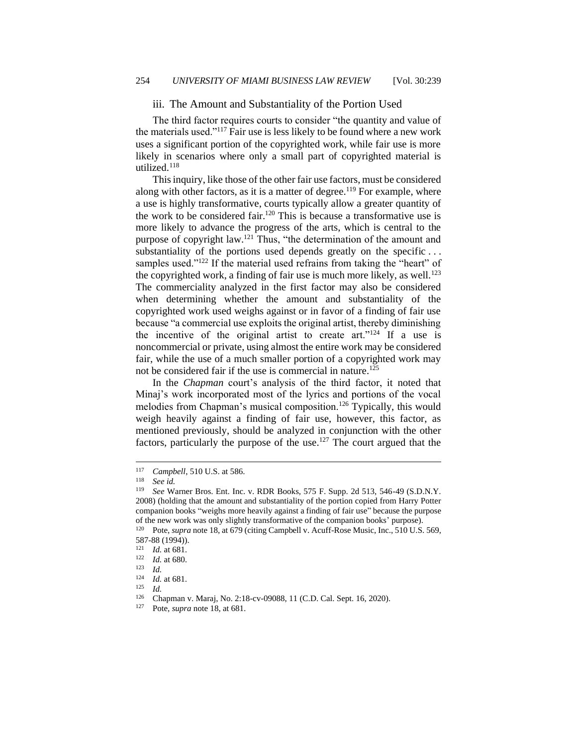iii. The Amount and Substantiality of the Portion Used

<span id="page-16-0"></span>The third factor requires courts to consider "the quantity and value of the materials used."<sup>117</sup> Fair use is less likely to be found where a new work uses a significant portion of the copyrighted work, while fair use is more likely in scenarios where only a small part of copyrighted material is utilized.<sup>118</sup>

This inquiry, like those of the other fair use factors, must be considered along with other factors, as it is a matter of degree.<sup>119</sup> For example, where a use is highly transformative, courts typically allow a greater quantity of the work to be considered fair.<sup>120</sup> This is because a transformative use is more likely to advance the progress of the arts, which is central to the purpose of copyright law.<sup>121</sup> Thus, "the determination of the amount and substantiality of the portions used depends greatly on the specific... samples used."<sup>122</sup> If the material used refrains from taking the "heart" of the copyrighted work, a finding of fair use is much more likely, as well.<sup>123</sup> The commerciality analyzed in the first factor may also be considered when determining whether the amount and substantiality of the copyrighted work used weighs against or in favor of a finding of fair use because "a commercial use exploits the original artist, thereby diminishing the incentive of the original artist to create art."<sup>124</sup> If a use is noncommercial or private, using almost the entire work may be considered fair, while the use of a much smaller portion of a copyrighted work may not be considered fair if the use is commercial in nature.<sup>125</sup>

In the *Chapman* court's analysis of the third factor, it noted that Minaj's work incorporated most of the lyrics and portions of the vocal melodies from Chapman's musical composition.<sup>126</sup> Typically, this would weigh heavily against a finding of fair use, however, this factor, as mentioned previously, should be analyzed in conjunction with the other factors, particularly the purpose of the use.<sup>127</sup> The court argued that the

<sup>&</sup>lt;sup>117</sup> *Campbell*, 510 U.S. at 586.

<sup>118</sup> *See id.*

<sup>119</sup> *See* Warner Bros. Ent. Inc. v. RDR Books, 575 F. Supp. 2d 513, 546-49 (S.D.N.Y. 2008) (holding that the amount and substantiality of the portion copied from Harry Potter companion books "weighs more heavily against a finding of fair use" because the purpose of the new work was only slightly transformative of the companion books' purpose).

<sup>120</sup> Pote, *supra* note 18, at 679 (citing Campbell v. Acuff-Rose Music, Inc., 510 U.S. 569, 587-88 (1994)).

 $\frac{121}{122}$  *Id.* at 681.

 $\frac{122}{123}$  *Id.* at 680.

 $\frac{123}{124}$  *Id.* 

 $\frac{124}{125}$  *Id.* at 681.

 $\frac{125}{126}$  *Id.* 

<sup>&</sup>lt;sup>126</sup> Chapman v. Maraj, No. 2:18-cv-09088, 11 (C.D. Cal. Sept. 16, 2020).<br><sup>127</sup> Pote, *supra* note 18, at 681

Pote, *supra* note 18, at 681.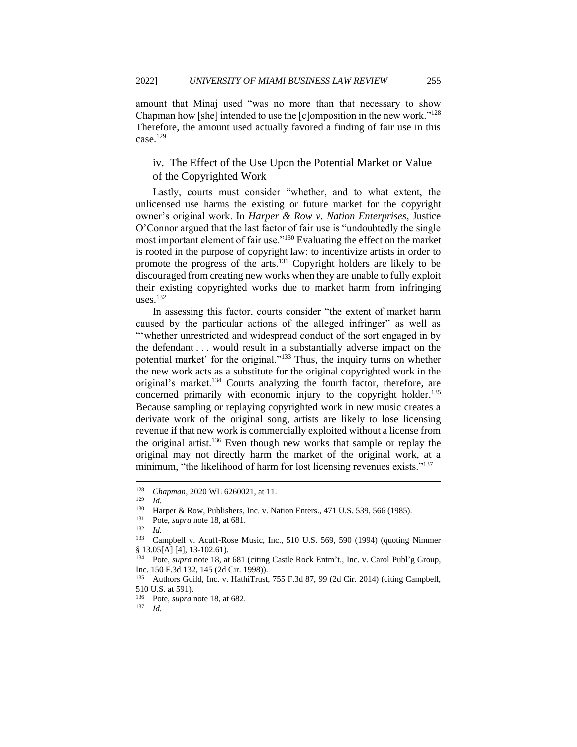amount that Minaj used "was no more than that necessary to show Chapman how [she] intended to use the [c]omposition in the new work."<sup>128</sup> Therefore, the amount used actually favored a finding of fair use in this case.<sup>129</sup>

# <span id="page-17-0"></span>iv. The Effect of the Use Upon the Potential Market or Value of the Copyrighted Work

Lastly, courts must consider "whether, and to what extent, the unlicensed use harms the existing or future market for the copyright owner's original work. In *Harper & Row v. Nation Enterprises*, Justice O'Connor argued that the last factor of fair use is "undoubtedly the single most important element of fair use."<sup>130</sup> Evaluating the effect on the market is rooted in the purpose of copyright law: to incentivize artists in order to promote the progress of the arts.<sup>131</sup> Copyright holders are likely to be discouraged from creating new works when they are unable to fully exploit their existing copyrighted works due to market harm from infringing uses. $132$ 

In assessing this factor, courts consider "the extent of market harm caused by the particular actions of the alleged infringer" as well as "'whether unrestricted and widespread conduct of the sort engaged in by the defendant . . . would result in a substantially adverse impact on the potential market' for the original."<sup>133</sup> Thus, the inquiry turns on whether the new work acts as a substitute for the original copyrighted work in the original's market.<sup>134</sup> Courts analyzing the fourth factor, therefore, are concerned primarily with economic injury to the copyright holder.<sup>135</sup> Because sampling or replaying copyrighted work in new music creates a derivate work of the original song, artists are likely to lose licensing revenue if that new work is commercially exploited without a license from the original artist.<sup>136</sup> Even though new works that sample or replay the original may not directly harm the market of the original work, at a minimum, "the likelihood of harm for lost licensing revenues exists."<sup>137</sup>

<sup>128</sup> *Chapman*, 2020 WL 6260021, at 11.

 $\frac{129}{130}$  *Id.* 

<sup>&</sup>lt;sup>130</sup> Harper & Row, Publishers, Inc. v. Nation Enters., 471 U.S. 539, 566 (1985).<br><sup>131</sup> Pote *sunta* note 18 at 681

Pote, *supra* note 18, at 681.

 $\frac{132}{133}$  *Id.* 

Campbell v. Acuff-Rose Music, Inc., 510 U.S. 569, 590 (1994) (quoting Nimmer § 13.05[A] [4], 13-102.61).

<sup>134</sup> Pote, *supra* note 18, at 681 (citing Castle Rock Entm't., Inc. v. Carol Publ'g Group, Inc. 150 F.3d 132, 145 (2d Cir. 1998)).

<sup>135</sup> Authors Guild, Inc. v. HathiTrust, 755 F.3d 87, 99 (2d Cir. 2014) (citing Campbell, 510 U.S. at 591).

<sup>136</sup> Pote, *supra* note 18, at 682.

<sup>137</sup> *Id.*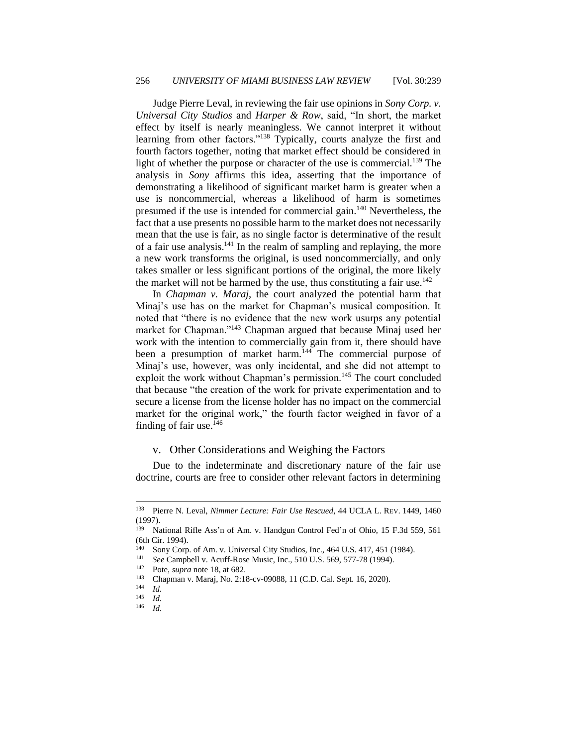Judge Pierre Leval, in reviewing the fair use opinions in *Sony Corp. v. Universal City Studios* and *Harper & Row*, said, "In short, the market effect by itself is nearly meaningless. We cannot interpret it without learning from other factors."<sup>138</sup> Typically, courts analyze the first and fourth factors together, noting that market effect should be considered in light of whether the purpose or character of the use is commercial.<sup>139</sup> The analysis in *Sony* affirms this idea, asserting that the importance of demonstrating a likelihood of significant market harm is greater when a use is noncommercial, whereas a likelihood of harm is sometimes presumed if the use is intended for commercial gain.<sup>140</sup> Nevertheless, the fact that a use presents no possible harm to the market does not necessarily mean that the use is fair, as no single factor is determinative of the result of a fair use analysis. $141$  In the realm of sampling and replaying, the more a new work transforms the original, is used noncommercially, and only takes smaller or less significant portions of the original, the more likely the market will not be harmed by the use, thus constituting a fair use.<sup>142</sup>

In *Chapman v. Maraj*, the court analyzed the potential harm that Minaj's use has on the market for Chapman's musical composition. It noted that "there is no evidence that the new work usurps any potential market for Chapman."<sup>143</sup> Chapman argued that because Minaj used her work with the intention to commercially gain from it, there should have been a presumption of market harm.  $144$  The commercial purpose of Minaj's use, however, was only incidental, and she did not attempt to exploit the work without Chapman's permission.<sup>145</sup> The court concluded that because "the creation of the work for private experimentation and to secure a license from the license holder has no impact on the commercial market for the original work," the fourth factor weighed in favor of a finding of fair use. $146$ 

#### <span id="page-18-0"></span>v. Other Considerations and Weighing the Factors

Due to the indeterminate and discretionary nature of the fair use doctrine, courts are free to consider other relevant factors in determining

*Id.* 

<sup>138</sup> Pierre N. Leval, *Nimmer Lecture: Fair Use Rescued*, 44 UCLA L. REV. 1449, 1460 (1997).

<sup>139</sup> National Rifle Ass'n of Am. v. Handgun Control Fed'n of Ohio, 15 F.3d 559, 561 (6th Cir. 1994).

<sup>&</sup>lt;sup>140</sup> Sony Corp. of Am. v. Universal City Studios, Inc.,  $464$  U.S.  $417$ ,  $451$  (1984).

<sup>&</sup>lt;sup>141</sup> *See* Campbell v. Acuff-Rose Music, Inc., 510 U.S. 569, 577-78 (1994).

<sup>&</sup>lt;sup>142</sup> Pote, *supra* note 18, at 682.<br><sup>143</sup> Chapman v Marai No. 2:1

<sup>&</sup>lt;sup>143</sup> Chapman v. Maraj, No. 2:18-cv-09088, 11 (C.D. Cal. Sept. 16, 2020).

<sup>144</sup> *Id.*

 $\frac{145}{146}$  *Id.*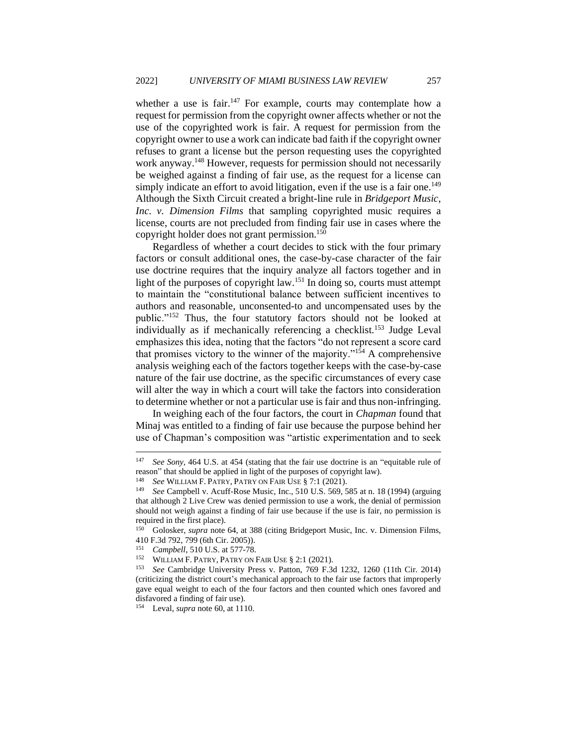whether a use is fair.<sup>147</sup> For example, courts may contemplate how a request for permission from the copyright owner affects whether or not the use of the copyrighted work is fair. A request for permission from the copyright owner to use a work can indicate bad faith if the copyright owner refuses to grant a license but the person requesting uses the copyrighted work anyway.<sup>148</sup> However, requests for permission should not necessarily be weighed against a finding of fair use, as the request for a license can simply indicate an effort to avoid litigation, even if the use is a fair one.<sup>149</sup> Although the Sixth Circuit created a bright-line rule in *Bridgeport Music, Inc. v. Dimension Films* that sampling copyrighted music requires a license, courts are not precluded from finding fair use in cases where the copyright holder does not grant permission.<sup>150</sup>

Regardless of whether a court decides to stick with the four primary factors or consult additional ones, the case-by-case character of the fair use doctrine requires that the inquiry analyze all factors together and in light of the purposes of copyright law.<sup>151</sup> In doing so, courts must attempt to maintain the "constitutional balance between sufficient incentives to authors and reasonable, unconsented-to and uncompensated uses by the public."<sup>152</sup> Thus, the four statutory factors should not be looked at individually as if mechanically referencing a checklist.<sup>153</sup> Judge Leval emphasizes this idea, noting that the factors "do not represent a score card that promises victory to the winner of the majority."<sup>154</sup> A comprehensive analysis weighing each of the factors together keeps with the case-by-case nature of the fair use doctrine, as the specific circumstances of every case will alter the way in which a court will take the factors into consideration to determine whether or not a particular use is fair and thus non-infringing.

In weighing each of the four factors, the court in *Chapman* found that Minaj was entitled to a finding of fair use because the purpose behind her use of Chapman's composition was "artistic experimentation and to seek

<sup>147</sup> *See Sony*, 464 U.S. at 454 (stating that the fair use doctrine is an "equitable rule of reason" that should be applied in light of the purposes of copyright law).

<sup>148</sup> *See* WILLIAM F. PATRY, PATRY ON FAIR USE § 7:1 (2021).

<sup>149</sup> *See* Campbell v. Acuff-Rose Music, Inc., 510 U.S. 569, 585 at n. 18 (1994) (arguing that although 2 Live Crew was denied permission to use a work, the denial of permission should not weigh against a finding of fair use because if the use is fair, no permission is required in the first place).

<sup>&</sup>lt;sup>150</sup> Golosker, *supra* note 64, at 388 (citing Bridgeport Music, Inc. v. Dimension Films, 410 F.3d 792, 799 (6th Cir. 2005)).

<sup>&</sup>lt;sup>151</sup> *Campbell*, 510 U.S. at 577-78.

<sup>&</sup>lt;sup>152</sup> WILLIAM F. PATRY, PATRY ON FAIR USE  $\S 2:1$  (2021).

<sup>153</sup> *See* Cambridge University Press v. Patton, 769 F.3d 1232, 1260 (11th Cir. 2014) (criticizing the district court's mechanical approach to the fair use factors that improperly gave equal weight to each of the four factors and then counted which ones favored and disfavored a finding of fair use).

<sup>154</sup> Leval, *supra* note 60, at 1110.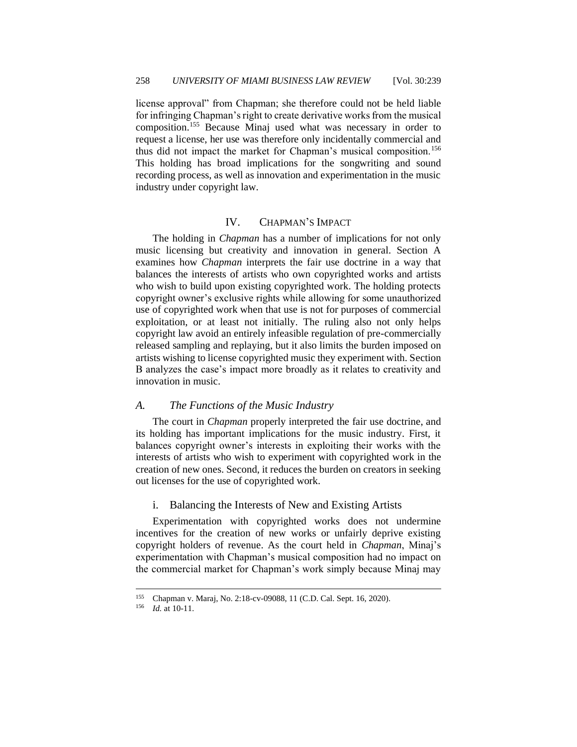license approval" from Chapman; she therefore could not be held liable for infringing Chapman's right to create derivative works from the musical composition.<sup>155</sup> Because Minaj used what was necessary in order to request a license, her use was therefore only incidentally commercial and thus did not impact the market for Chapman's musical composition.<sup>156</sup> This holding has broad implications for the songwriting and sound recording process, as well as innovation and experimentation in the music industry under copyright law.

### IV. CHAPMAN'S IMPACT

<span id="page-20-0"></span>The holding in *Chapman* has a number of implications for not only music licensing but creativity and innovation in general. Section A examines how *Chapman* interprets the fair use doctrine in a way that balances the interests of artists who own copyrighted works and artists who wish to build upon existing copyrighted work. The holding protects copyright owner's exclusive rights while allowing for some unauthorized use of copyrighted work when that use is not for purposes of commercial exploitation, or at least not initially. The ruling also not only helps copyright law avoid an entirely infeasible regulation of pre-commercially released sampling and replaying, but it also limits the burden imposed on artists wishing to license copyrighted music they experiment with. Section B analyzes the case's impact more broadly as it relates to creativity and innovation in music.

#### <span id="page-20-1"></span>*A. The Functions of the Music Industry*

The court in *Chapman* properly interpreted the fair use doctrine, and its holding has important implications for the music industry. First, it balances copyright owner's interests in exploiting their works with the interests of artists who wish to experiment with copyrighted work in the creation of new ones. Second, it reduces the burden on creators in seeking out licenses for the use of copyrighted work.

#### <span id="page-20-2"></span>i. Balancing the Interests of New and Existing Artists

Experimentation with copyrighted works does not undermine incentives for the creation of new works or unfairly deprive existing copyright holders of revenue. As the court held in *Chapman*, Minaj's experimentation with Chapman's musical composition had no impact on the commercial market for Chapman's work simply because Minaj may

<sup>&</sup>lt;sup>155</sup> Chapman v. Maraj, No. 2:18-cv-09088, 11 (C.D. Cal. Sept. 16, 2020).<br><sup>156</sup> Id at 10-11

*Id.* at 10-11.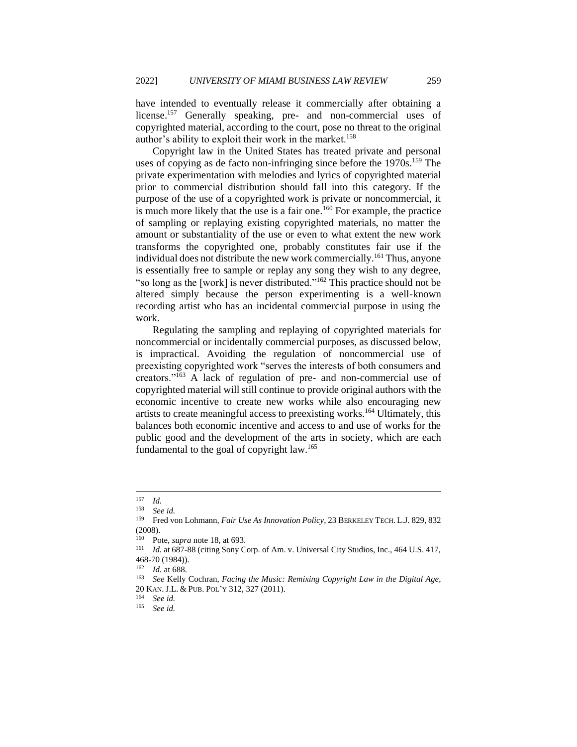have intended to eventually release it commercially after obtaining a license.<sup>157</sup> Generally speaking, pre- and non-commercial uses of copyrighted material, according to the court, pose no threat to the original author's ability to exploit their work in the market.<sup>158</sup>

Copyright law in the United States has treated private and personal uses of copying as de facto non-infringing since before the  $1970s$ .<sup>159</sup> The private experimentation with melodies and lyrics of copyrighted material prior to commercial distribution should fall into this category. If the purpose of the use of a copyrighted work is private or noncommercial, it is much more likely that the use is a fair one.<sup>160</sup> For example, the practice of sampling or replaying existing copyrighted materials, no matter the amount or substantiality of the use or even to what extent the new work transforms the copyrighted one, probably constitutes fair use if the individual does not distribute the new work commercially.<sup>161</sup> Thus, anyone is essentially free to sample or replay any song they wish to any degree, "so long as the [work] is never distributed."<sup>162</sup> This practice should not be altered simply because the person experimenting is a well-known recording artist who has an incidental commercial purpose in using the work.

Regulating the sampling and replaying of copyrighted materials for noncommercial or incidentally commercial purposes, as discussed below, is impractical. Avoiding the regulation of noncommercial use of preexisting copyrighted work "serves the interests of both consumers and creators."<sup>163</sup> A lack of regulation of pre- and non-commercial use of copyrighted material will still continue to provide original authors with the economic incentive to create new works while also encouraging new artists to create meaningful access to preexisting works.<sup>164</sup> Ultimately, this balances both economic incentive and access to and use of works for the public good and the development of the arts in society, which are each fundamental to the goal of copyright law.<sup>165</sup>

 $\frac{157}{158}$  *Id.* 

See *id.* 

<sup>159</sup> Fred von Lohmann, *Fair Use As Innovation Policy*, 23 BERKELEY TECH. L.J. 829, 832  $(2008).$ <br><sup>160</sup> Pc

<sup>&</sup>lt;sup>160</sup> Pote, *supra* note 18, at 693.<br><sup>161</sup> *Id at 687-88 (citing Sony C*)

Id. at 687-88 (citing Sony Corp. of Am. v. Universal City Studios, Inc., 464 U.S. 417, 468-70 (1984)).

 $\frac{162}{163}$  *Id.* at 688.

<sup>163</sup> *See* Kelly Cochran, *Facing the Music: Remixing Copyright Law in the Digital Age*, 20 KAN.J.L. & PUB. POL'Y 312, 327 (2011).

<sup>164</sup> *See id.*

<sup>165</sup> *See id.*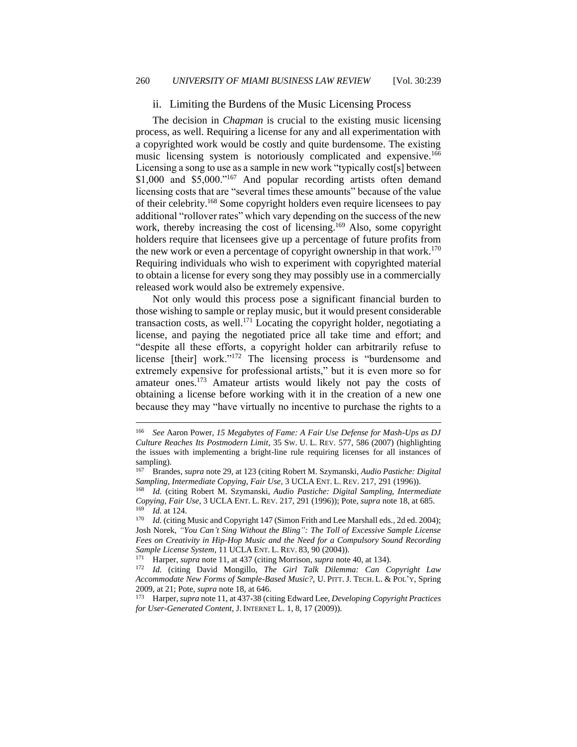#### <span id="page-22-0"></span>ii. Limiting the Burdens of the Music Licensing Process

The decision in *Chapman* is crucial to the existing music licensing process, as well. Requiring a license for any and all experimentation with a copyrighted work would be costly and quite burdensome. The existing music licensing system is notoriously complicated and expensive.<sup>166</sup> Licensing a song to use as a sample in new work "typically cost[s] between \$1,000 and \$5,000."<sup>167</sup> And popular recording artists often demand licensing costs that are "several times these amounts" because of the value of their celebrity.<sup>168</sup> Some copyright holders even require licensees to pay additional "rollover rates" which vary depending on the success of the new work, thereby increasing the cost of licensing.<sup>169</sup> Also, some copyright holders require that licensees give up a percentage of future profits from the new work or even a percentage of copyright ownership in that work.<sup>170</sup> Requiring individuals who wish to experiment with copyrighted material to obtain a license for every song they may possibly use in a commercially released work would also be extremely expensive.

Not only would this process pose a significant financial burden to those wishing to sample or replay music, but it would present considerable transaction costs, as well.<sup>171</sup> Locating the copyright holder, negotiating a license, and paying the negotiated price all take time and effort; and "despite all these efforts, a copyright holder can arbitrarily refuse to license [their] work."<sup>172</sup> The licensing process is "burdensome and extremely expensive for professional artists," but it is even more so for amateur ones.<sup>173</sup> Amateur artists would likely not pay the costs of obtaining a license before working with it in the creation of a new one because they may "have virtually no incentive to purchase the rights to a

<sup>166</sup> *See* Aaron Power, *15 Megabytes of Fame: A Fair Use Defense for Mash-Ups as DJ Culture Reaches Its Postmodern Limit*, 35 SW. U. L. REV. 577, 586 (2007) (highlighting the issues with implementing a bright-line rule requiring licenses for all instances of sampling).

<sup>167</sup> Brandes, *supra* note 29, at 123 (citing Robert M. Szymanski, *Audio Pastiche: Digital Sampling, Intermediate Copying, Fair Use*, 3 UCLA ENT. L. REV. 217, 291 (1996)).

<sup>168</sup> *Id.* (citing Robert M. Szymanski, *Audio Pastiche: Digital Sampling, Intermediate Copying, Fair Use*, 3 UCLA ENT. L. REV. 217, 291 (1996)); Pote, *supra* note 18, at 685.  $\frac{169}{170}$  *Id.* at 124.

*Id.* (citing Music and Copyright 147 (Simon Frith and Lee Marshall eds., 2d ed. 2004); Josh Norek, *"You Can't Sing Without the Bling": The Toll of Excessive Sample License Fees on Creativity in Hip-Hop Music and the Need for a Compulsory Sound Recording Sample License System, 11 UCLA ENT. L. REV. 83, 90 (2004)).*<br><sup>171</sup> Harper, sunga pota 11, at 437 (citing Morrison, sunga pota

<sup>171</sup> Harper, *supra* note 11, at 437 (citing Morrison, *supra* note 40, at 134).

<sup>172</sup> *Id.* (citing David Mongillo, *The Girl Talk Dilemma: Can Copyright Law Accommodate New Forms of Sample-Based Music?*, U. PITT. J. TECH. L. & POL'Y, Spring 2009, at 21; Pote, *supra* note 18, at 646.

<sup>173</sup> Harper, *supra* note 11, at 437-38 (citing Edward Lee, *Developing Copyright Practices for User-Generated Content*, J. INTERNET L. 1, 8, 17 (2009)).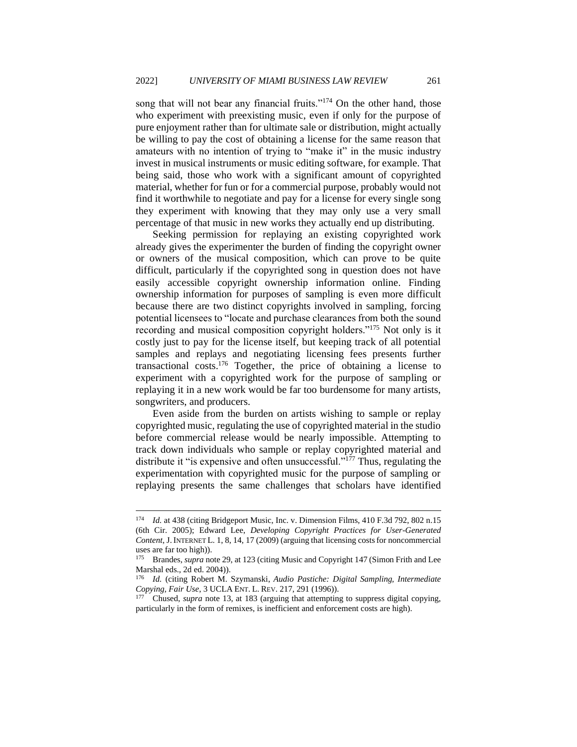song that will not bear any financial fruits."<sup>174</sup> On the other hand, those who experiment with preexisting music, even if only for the purpose of pure enjoyment rather than for ultimate sale or distribution, might actually be willing to pay the cost of obtaining a license for the same reason that amateurs with no intention of trying to "make it" in the music industry invest in musical instruments or music editing software, for example. That being said, those who work with a significant amount of copyrighted material, whether for fun or for a commercial purpose, probably would not find it worthwhile to negotiate and pay for a license for every single song they experiment with knowing that they may only use a very small percentage of that music in new works they actually end up distributing.

Seeking permission for replaying an existing copyrighted work already gives the experimenter the burden of finding the copyright owner or owners of the musical composition, which can prove to be quite difficult, particularly if the copyrighted song in question does not have easily accessible copyright ownership information online. Finding ownership information for purposes of sampling is even more difficult because there are two distinct copyrights involved in sampling, forcing potential licensees to "locate and purchase clearances from both the sound recording and musical composition copyright holders."<sup>175</sup> Not only is it costly just to pay for the license itself, but keeping track of all potential samples and replays and negotiating licensing fees presents further transactional costs.<sup>176</sup> Together, the price of obtaining a license to experiment with a copyrighted work for the purpose of sampling or replaying it in a new work would be far too burdensome for many artists, songwriters, and producers.

Even aside from the burden on artists wishing to sample or replay copyrighted music, regulating the use of copyrighted material in the studio before commercial release would be nearly impossible. Attempting to track down individuals who sample or replay copyrighted material and distribute it "is expensive and often unsuccessful."<sup>177</sup> Thus, regulating the experimentation with copyrighted music for the purpose of sampling or replaying presents the same challenges that scholars have identified

<sup>174</sup> *Id.* at 438 (citing Bridgeport Music, Inc. v. Dimension Films, 410 F.3d 792, 802 n.15 (6th Cir. 2005); Edward Lee, *Developing Copyright Practices for User-Generated Content*, J. INTERNET L. 1, 8, 14, 17 (2009) (arguing that licensing costs for noncommercial uses are far too high)).

<sup>175</sup> Brandes, *supra* note 29, at 123 (citing Music and Copyright 147 (Simon Frith and Lee Marshal eds., 2d ed. 2004)).

<sup>176</sup> *Id.* (citing Robert M. Szymanski, *Audio Pastiche: Digital Sampling, Intermediate Copying, Fair Use*, 3 UCLA ENT. L. REV. 217, 291 (1996)).

Chused, *supra* note 13, at 183 (arguing that attempting to suppress digital copying, particularly in the form of remixes, is inefficient and enforcement costs are high).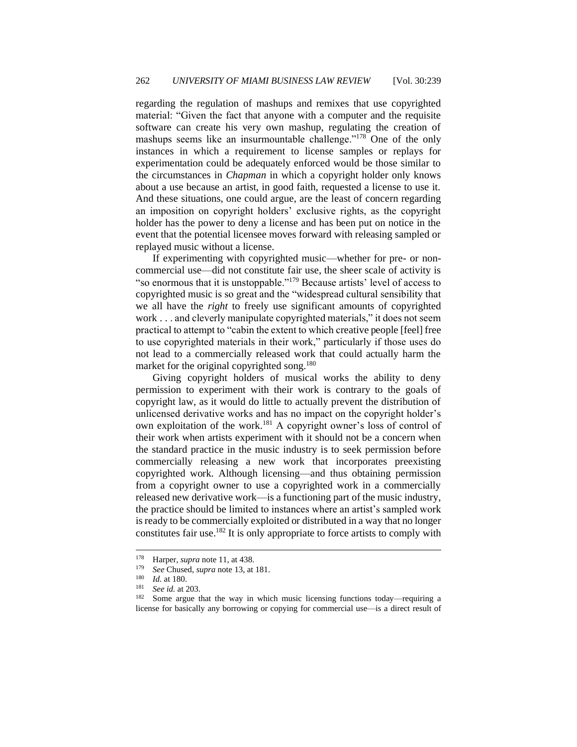regarding the regulation of mashups and remixes that use copyrighted material: "Given the fact that anyone with a computer and the requisite software can create his very own mashup, regulating the creation of mashups seems like an insurmountable challenge."<sup>178</sup> One of the only instances in which a requirement to license samples or replays for experimentation could be adequately enforced would be those similar to the circumstances in *Chapman* in which a copyright holder only knows about a use because an artist, in good faith, requested a license to use it. And these situations, one could argue, are the least of concern regarding an imposition on copyright holders' exclusive rights, as the copyright holder has the power to deny a license and has been put on notice in the event that the potential licensee moves forward with releasing sampled or replayed music without a license.

If experimenting with copyrighted music—whether for pre- or noncommercial use—did not constitute fair use, the sheer scale of activity is "so enormous that it is unstoppable."<sup>179</sup> Because artists' level of access to copyrighted music is so great and the "widespread cultural sensibility that we all have the *right* to freely use significant amounts of copyrighted work . . . and cleverly manipulate copyrighted materials," it does not seem practical to attempt to "cabin the extent to which creative people [feel] free to use copyrighted materials in their work," particularly if those uses do not lead to a commercially released work that could actually harm the market for the original copyrighted song.<sup>180</sup>

Giving copyright holders of musical works the ability to deny permission to experiment with their work is contrary to the goals of copyright law, as it would do little to actually prevent the distribution of unlicensed derivative works and has no impact on the copyright holder's own exploitation of the work.<sup>181</sup> A copyright owner's loss of control of their work when artists experiment with it should not be a concern when the standard practice in the music industry is to seek permission before commercially releasing a new work that incorporates preexisting copyrighted work. Although licensing—and thus obtaining permission from a copyright owner to use a copyrighted work in a commercially released new derivative work—is a functioning part of the music industry, the practice should be limited to instances where an artist's sampled work is ready to be commercially exploited or distributed in a way that no longer constitutes fair use.<sup>182</sup> It is only appropriate to force artists to comply with

<sup>&</sup>lt;sup>178</sup> Harper, *supra* note 11, at 438.<br> $\frac{179}{266}$  See Chused, *supra* note 13, at

<sup>&</sup>lt;sup>179</sup> *See* Chused, *supra* note 13, at 181.

 $\frac{180}{181}$  *Id.* at 180.

See *id.* at 203.

<sup>182</sup> Some argue that the way in which music licensing functions today—requiring a license for basically any borrowing or copying for commercial use—is a direct result of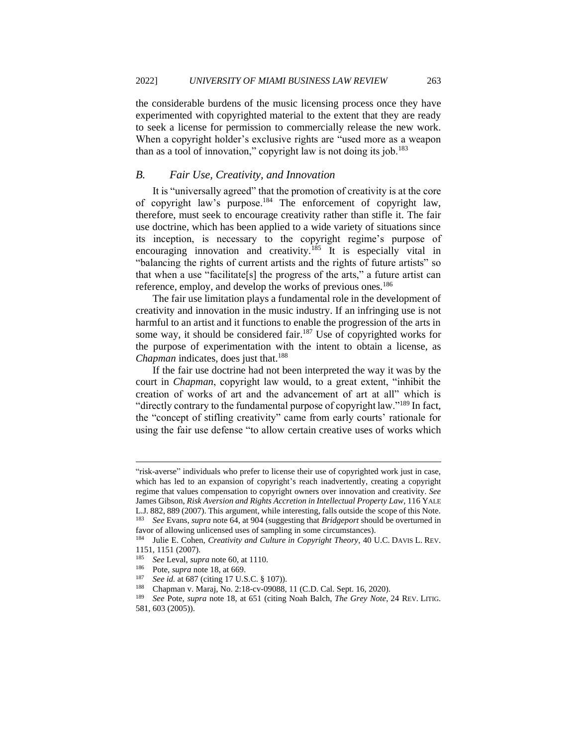the considerable burdens of the music licensing process once they have experimented with copyrighted material to the extent that they are ready to seek a license for permission to commercially release the new work. When a copyright holder's exclusive rights are "used more as a weapon than as a tool of innovation," copyright law is not doing its job.<sup>183</sup>

# <span id="page-25-0"></span>*B. Fair Use, Creativity, and Innovation*

It is "universally agreed" that the promotion of creativity is at the core of copyright law's purpose.<sup>184</sup> The enforcement of copyright law, therefore, must seek to encourage creativity rather than stifle it. The fair use doctrine, which has been applied to a wide variety of situations since its inception, is necessary to the copyright regime's purpose of encouraging innovation and creativity.<sup>185</sup> It is especially vital in "balancing the rights of current artists and the rights of future artists" so that when a use "facilitate[s] the progress of the arts," a future artist can reference, employ, and develop the works of previous ones.<sup>186</sup>

The fair use limitation plays a fundamental role in the development of creativity and innovation in the music industry. If an infringing use is not harmful to an artist and it functions to enable the progression of the arts in some way, it should be considered fair.<sup>187</sup> Use of copyrighted works for the purpose of experimentation with the intent to obtain a license, as *Chapman* indicates, does just that.<sup>188</sup>

If the fair use doctrine had not been interpreted the way it was by the court in *Chapman*, copyright law would, to a great extent, "inhibit the creation of works of art and the advancement of art at all" which is "directly contrary to the fundamental purpose of copyright law."<sup>189</sup> In fact, the "concept of stifling creativity" came from early courts' rationale for using the fair use defense "to allow certain creative uses of works which

<sup>&</sup>quot;risk-averse" individuals who prefer to license their use of copyrighted work just in case, which has led to an expansion of copyright's reach inadvertently, creating a copyright regime that values compensation to copyright owners over innovation and creativity. *See* James Gibson, *Risk Aversion and Rights Accretion in Intellectual Property Law*, 116 YALE L.J. 882, 889 (2007). This argument, while interesting, falls outside the scope of this Note. <sup>183</sup> *See* Evans, *supra* note 64, at 904 (suggesting that *Bridgeport* should be overturned in

favor of allowing unlicensed uses of sampling in some circumstances).

<sup>184</sup> Julie E. Cohen, *Creativity and Culture in Copyright Theory*, 40 U.C. DAVIS L. REV. 1151, 1151 (2007).<br> $185 \text{ kg}$  J avaluate

<sup>185</sup> *See* Leval, *supra* note 60, at 1110.

<sup>&</sup>lt;sup>186</sup> Pote, *supra* note 18, at 669.<br><sup>187</sup> See id at 687 (citing 17 U.S.

<sup>187</sup> *See id.* at 687 (citing 17 U.S.C. § 107)).

<sup>188</sup> Chapman v. Maraj, No. 2:18-cv-09088, 11 (C.D. Cal. Sept. 16, 2020).

<sup>189</sup> *See* Pote, *supra* note 18, at 651 (citing Noah Balch, *The Grey Note*, 24 REV. LITIG. 581, 603 (2005)).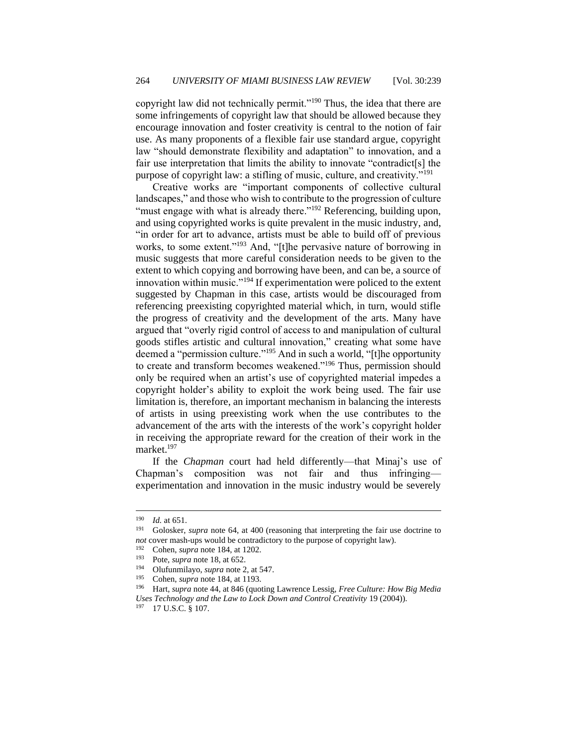copyright law did not technically permit."<sup>190</sup> Thus, the idea that there are some infringements of copyright law that should be allowed because they encourage innovation and foster creativity is central to the notion of fair use. As many proponents of a flexible fair use standard argue, copyright law "should demonstrate flexibility and adaptation" to innovation, and a fair use interpretation that limits the ability to innovate "contradict[s] the purpose of copyright law: a stifling of music, culture, and creativity."<sup>191</sup>

Creative works are "important components of collective cultural landscapes," and those who wish to contribute to the progression of culture "must engage with what is already there."<sup>192</sup> Referencing, building upon, and using copyrighted works is quite prevalent in the music industry, and, "in order for art to advance, artists must be able to build off of previous works, to some extent."<sup>193</sup> And, "[t]he pervasive nature of borrowing in music suggests that more careful consideration needs to be given to the extent to which copying and borrowing have been, and can be, a source of innovation within music."<sup>194</sup> If experimentation were policed to the extent suggested by Chapman in this case, artists would be discouraged from referencing preexisting copyrighted material which, in turn, would stifle the progress of creativity and the development of the arts. Many have argued that "overly rigid control of access to and manipulation of cultural goods stifles artistic and cultural innovation," creating what some have deemed a "permission culture."<sup>195</sup> And in such a world, "[t]he opportunity to create and transform becomes weakened."<sup>196</sup> Thus, permission should only be required when an artist's use of copyrighted material impedes a copyright holder's ability to exploit the work being used. The fair use limitation is, therefore, an important mechanism in balancing the interests of artists in using preexisting work when the use contributes to the advancement of the arts with the interests of the work's copyright holder in receiving the appropriate reward for the creation of their work in the market.<sup>197</sup>

If the *Chapman* court had held differently—that Minaj's use of Chapman's composition was not fair and thus infringing experimentation and innovation in the music industry would be severely

 $\frac{190}{191}$  *Id.* at 651.

<sup>191</sup> Golosker, *supra* note 64, at 400 (reasoning that interpreting the fair use doctrine to *not* cover mash-ups would be contradictory to the purpose of copyright law).

<sup>&</sup>lt;sup>192</sup> Cohen, *supra* note 184, at 1202.<br><sup>193</sup> Pote *supra* note 18, at 652

<sup>&</sup>lt;sup>193</sup> Pote, *supra* note 18, at 652.

<sup>&</sup>lt;sup>194</sup> Olufunmilayo, *supra* note 2, at 547.<br><sup>195</sup> Coben, *supra* note 184, at 1193.

<sup>&</sup>lt;sup>195</sup> Cohen, *supra* note 184, at 1193.<br><sup>196</sup> Hart, *supra* note 44, at 846 (quo)

<sup>196</sup> Hart, *supra* note 44, at 846 (quoting Lawrence Lessig, *Free Culture: How Big Media Uses Technology and the Law to Lock Down and Control Creativity* 19 (2004)).

<sup>197</sup> 17 U.S.C. § 107.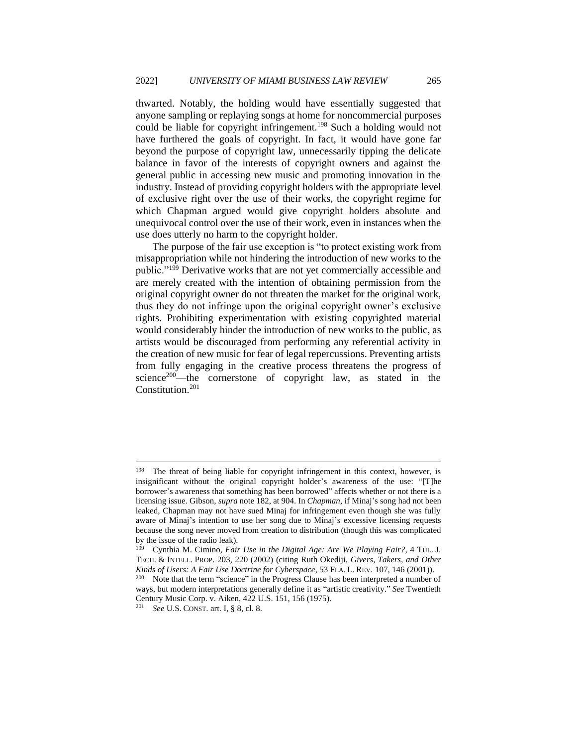thwarted. Notably, the holding would have essentially suggested that anyone sampling or replaying songs at home for noncommercial purposes could be liable for copyright infringement.<sup>198</sup> Such a holding would not have furthered the goals of copyright. In fact, it would have gone far beyond the purpose of copyright law, unnecessarily tipping the delicate balance in favor of the interests of copyright owners and against the general public in accessing new music and promoting innovation in the industry. Instead of providing copyright holders with the appropriate level of exclusive right over the use of their works, the copyright regime for which Chapman argued would give copyright holders absolute and unequivocal control over the use of their work, even in instances when the use does utterly no harm to the copyright holder.

The purpose of the fair use exception is "to protect existing work from misappropriation while not hindering the introduction of new works to the public."<sup>199</sup> Derivative works that are not yet commercially accessible and are merely created with the intention of obtaining permission from the original copyright owner do not threaten the market for the original work, thus they do not infringe upon the original copyright owner's exclusive rights. Prohibiting experimentation with existing copyrighted material would considerably hinder the introduction of new works to the public, as artists would be discouraged from performing any referential activity in the creation of new music for fear of legal repercussions. Preventing artists from fully engaging in the creative process threatens the progress of science<sup>200</sup>—the cornerstone of copyright law, as stated in the Constitution.<sup>201</sup>

The threat of being liable for copyright infringement in this context, however, is insignificant without the original copyright holder's awareness of the use: "[T]he borrower's awareness that something has been borrowed" affects whether or not there is a licensing issue. Gibson, *supra* note 182, at 904. In *Chapman*, if Minaj's song had not been leaked, Chapman may not have sued Minaj for infringement even though she was fully aware of Minaj's intention to use her song due to Minaj's excessive licensing requests because the song never moved from creation to distribution (though this was complicated by the issue of the radio leak).

<sup>199</sup> Cynthia M. Cimino, *Fair Use in the Digital Age: Are We Playing Fair?*, 4 TUL. J. TECH. & INTELL. PROP. 203, 220 (2002) (citing Ruth Okediji, *Givers, Takers, and Other Kinds of Users: A Fair Use Doctrine for Cyberspace*, 53 FLA. L. REV. 107, 146 (2001)).

<sup>&</sup>lt;sup>200</sup> Note that the term "science" in the Progress Clause has been interpreted a number of ways, but modern interpretations generally define it as "artistic creativity." *See* Twentieth Century Music Corp. v. Aiken, 422 U.S. 151, 156 (1975).

<sup>201</sup> *See* U.S. CONST. art. I, § 8, cl. 8.